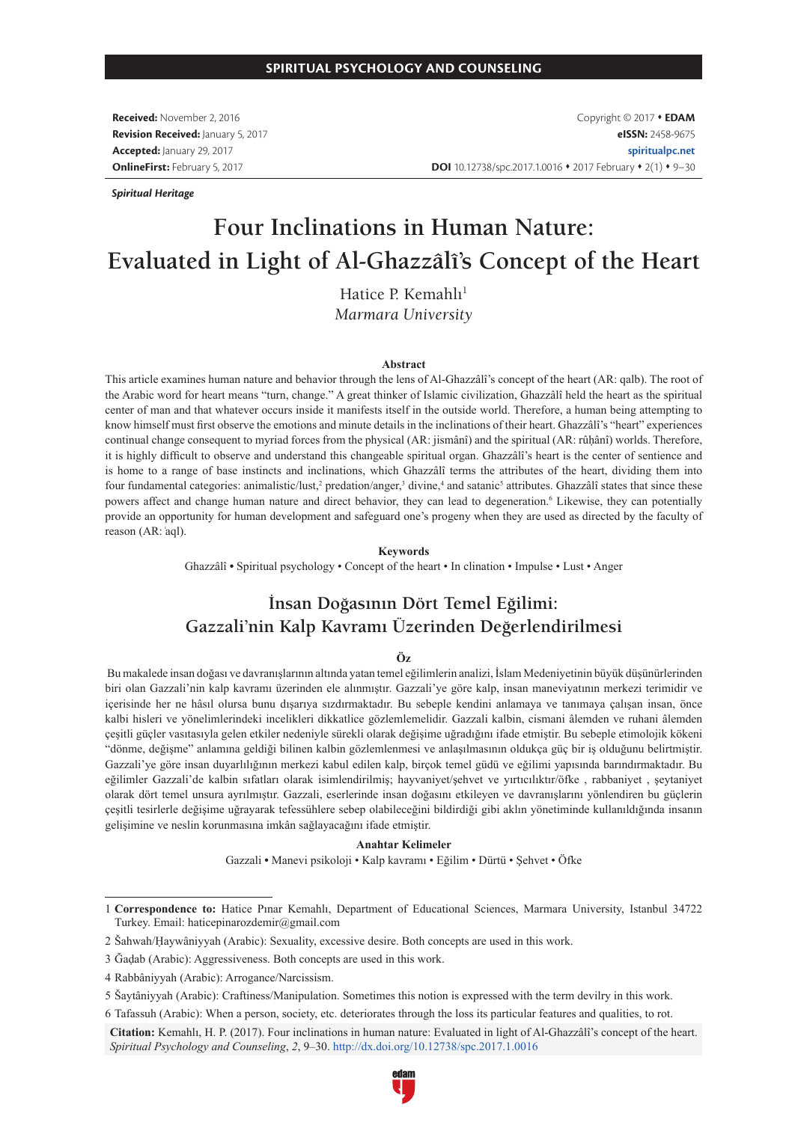**Received:** November 2, 2016 **Revision Received:** January 5, 2017 **Accepted:** January 29, 2017 **OnlineFirst:** February 5, 2017

*Spiritual Heritage*

Copyright © 2017 **EDAM eISSN:** 2458-9675 **spiritualpc.net DOI** 10.12738/spc.2017.1.0016  $\cdot$  2017 February  $\cdot$  2(1)  $\cdot$  9-30

**Four Inclinations in Human Nature: Evaluated in Light of Al-Ghazzâlî's Concept of the Heart**

> Hatice P. Kemahlı<sup>1</sup> *Marmara University*

#### **Abstract**

This article examines human nature and behavior through the lens of Al-Ghazzâlî's concept of the heart (AR: qalb). The root of the Arabic word for heart means "turn, change." A great thinker of Islamic civilization, Ghazzâlî held the heart as the spiritual center of man and that whatever occurs inside it manifests itself in the outside world. Therefore, a human being attempting to know himself must first observe the emotions and minute details in the inclinations of their heart. Ghazzâlî's "heart" experiences continual change consequent to myriad forces from the physical (AR: jismânî) and the spiritual (AR: rûḥânî) worlds. Therefore, it is highly difficult to observe and understand this changeable spiritual organ. Ghazzâlî's heart is the center of sentience and is home to a range of base instincts and inclinations, which Ghazzâlî terms the attributes of the heart, dividing them into four fundamental categories: animalistic/lust,<sup>2</sup> predation/anger,<sup>3</sup> divine,<sup>4</sup> and satanic<sup>5</sup> attributes. Ghazzâlî states that since these powers affect and change human nature and direct behavior, they can lead to degeneration.<sup>6</sup> Likewise, they can potentially provide an opportunity for human development and safeguard one's progeny when they are used as directed by the faculty of reason (AR: ʿaql).

### **Keywords**

Ghazzâlî **•** Spiritual psychology • Concept of the heart • In clination • Impulse • Lust • Anger

# **İnsan Doğasının Dört Temel Eğilimi: Gazzali'nin Kalp Kavramı Üzerinden Değerlendirilmesi**

#### **Öz**

 Bu makalede insan doğası ve davranışlarının altında yatan temel eğilimlerin analizi, İslam Medeniyetinin büyük düşünürlerinden biri olan Gazzali'nin kalp kavramı üzerinden ele alınmıştır. Gazzali'ye göre kalp, insan maneviyatının merkezi terimidir ve içerisinde her ne hâsıl olursa bunu dışarıya sızdırmaktadır. Bu sebeple kendini anlamaya ve tanımaya çalışan insan, önce kalbi hisleri ve yönelimlerindeki incelikleri dikkatlice gözlemlemelidir. Gazzali kalbin, cismani âlemden ve ruhani âlemden çeşitli güçler vasıtasıyla gelen etkiler nedeniyle sürekli olarak değişime uğradığını ifade etmiştir. Bu sebeple etimolojik kökeni "dönme, değişme" anlamına geldiği bilinen kalbin gözlemlenmesi ve anlaşılmasının oldukça güç bir iş olduğunu belirtmiştir. Gazzali'ye göre insan duyarlılığının merkezi kabul edilen kalp, birçok temel güdü ve eğilimi yapısında barındırmaktadır. Bu eğilimler Gazzali'de kalbin sıfatları olarak isimlendirilmiş; hayvaniyet/şehvet ve yırtıcılıktır/öfke , rabbaniyet , şeytaniyet olarak dört temel unsura ayrılmıştır. Gazzali, eserlerinde insan doğasını etkileyen ve davranışlarını yönlendiren bu güçlerin çeşitli tesirlerle değişime uğrayarak tefessühlere sebep olabileceğini bildirdiği gibi aklın yönetiminde kullanıldığında insanın gelişimine ve neslin korunmasına imkân sağlayacağını ifade etmiştir.

#### **Anahtar Kelimeler**

Gazzali **•** Manevi psikoloji • Kalp kavramı • Eğilim • Dürtü • Şehvet • Öfke

<sup>1</sup> **Correspondence to:** Hatice Pınar Kemahlı, Department of Educational Sciences, Marmara University, Istanbul 34722 Turkey. Email: haticepinarozdemir@gmail.com

<sup>2</sup> Šahwah/Ḥaywâniyyah (Arabic): Sexuality, excessive desire. Both concepts are used in this work.

<sup>3</sup> Ğaḍab (Arabic): Aggressiveness. Both concepts are used in this work.

<sup>4</sup> Rabbâniyyah (Arabic): Arrogance/Narcissism.

<sup>5</sup> Šaytâniyyah (Arabic): Craftiness/Manipulation. Sometimes this notion is expressed with the term devilry in this work.

<sup>6</sup> Tafassuh (Arabic): When a person, society, etc. deteriorates through the loss its particular features and qualities, to rot.

**Citation:** Kemahlı, H. P. (2017). Four inclinations in human nature: Evaluated in light of Al-Ghazzâlî's concept of the heart. *Spiritual Psychology and Counseling*, *2*, 9–30. http://dx.doi.org/10.12738/spc.2017.1.0016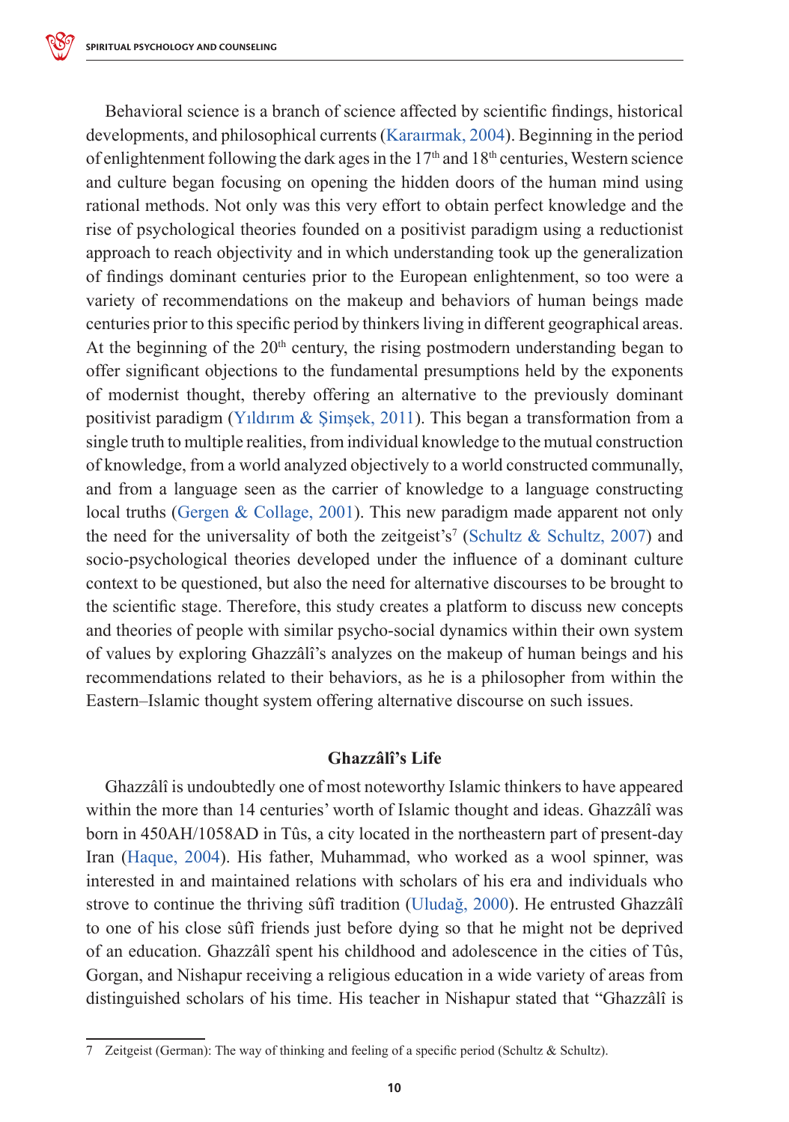Behavioral science is a branch of science affected by scientific findings, historical developments, and philosophical currents (Karaırmak, 2004). Beginning in the period of enlightenment following the dark ages in the  $17<sup>th</sup>$  and  $18<sup>th</sup>$  centuries, Western science and culture began focusing on opening the hidden doors of the human mind using rational methods. Not only was this very effort to obtain perfect knowledge and the rise of psychological theories founded on a positivist paradigm using a reductionist approach to reach objectivity and in which understanding took up the generalization of findings dominant centuries prior to the European enlightenment, so too were a variety of recommendations on the makeup and behaviors of human beings made centuries prior to this specific period by thinkers living in different geographical areas. At the beginning of the 20<sup>th</sup> century, the rising postmodern understanding began to offer significant objections to the fundamental presumptions held by the exponents of modernist thought, thereby offering an alternative to the previously dominant positivist paradigm (Yıldırım & Şimşek, 2011). This began a transformation from a single truth to multiple realities, from individual knowledge to the mutual construction of knowledge, from a world analyzed objectively to a world constructed communally, and from a language seen as the carrier of knowledge to a language constructing local truths (Gergen & Collage, 2001). This new paradigm made apparent not only the need for the universality of both the zeitgeist's<sup>7</sup> (Schultz & Schultz, 2007) and socio-psychological theories developed under the influence of a dominant culture context to be questioned, but also the need for alternative discourses to be brought to the scientific stage. Therefore, this study creates a platform to discuss new concepts and theories of people with similar psycho-social dynamics within their own system of values by exploring Ghazzâlî's analyzes on the makeup of human beings and his recommendations related to their behaviors, as he is a philosopher from within the Eastern–Islamic thought system offering alternative discourse on such issues.

# **Ghazzâlî's Life**

Ghazzâlî is undoubtedly one of most noteworthy Islamic thinkers to have appeared within the more than 14 centuries' worth of Islamic thought and ideas. Ghazzâlî was born in 450AH/1058AD in Tûs, a city located in the northeastern part of present-day Iran (Haque, 2004). His father, Muhammad, who worked as a wool spinner, was interested in and maintained relations with scholars of his era and individuals who strove to continue the thriving sûfî tradition (Uludağ, 2000). He entrusted Ghazzâlî to one of his close sûfî friends just before dying so that he might not be deprived of an education. Ghazzâlî spent his childhood and adolescence in the cities of Tûs, Gorgan, and Nishapur receiving a religious education in a wide variety of areas from distinguished scholars of his time. His teacher in Nishapur stated that "Ghazzâlî is

<sup>7</sup> Zeitgeist (German): The way of thinking and feeling of a specific period (Schultz & Schultz).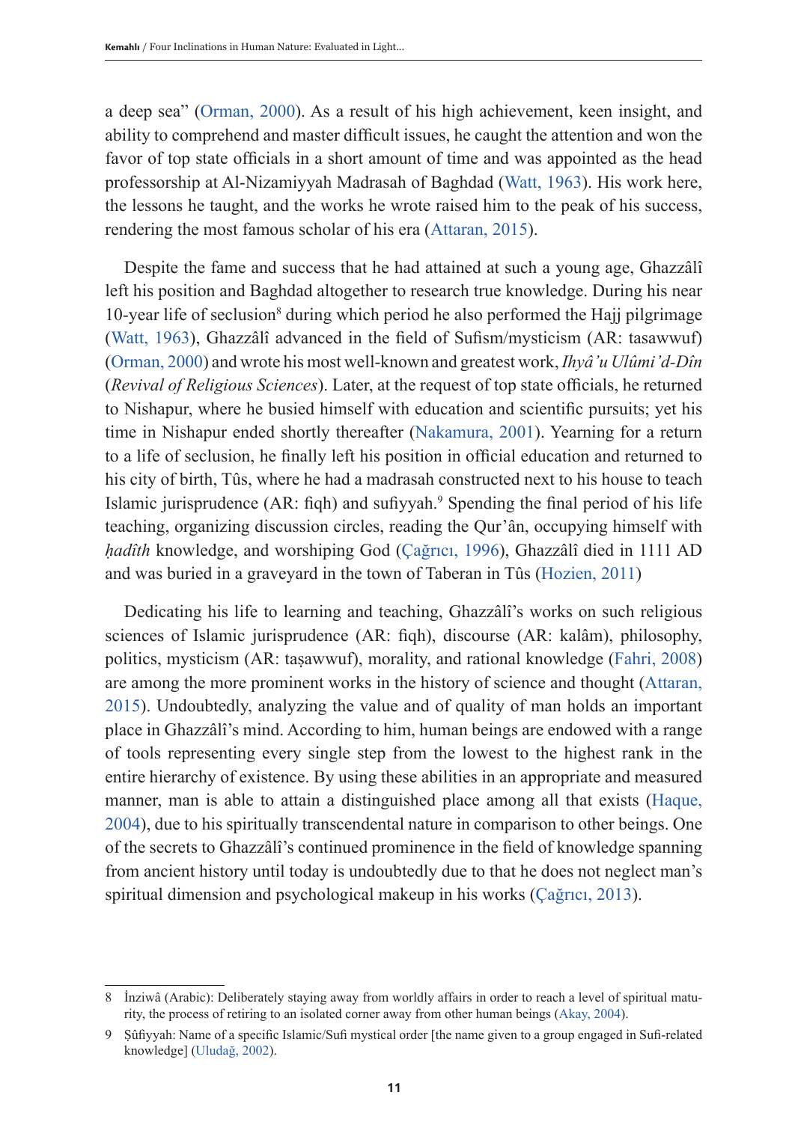a deep sea" (Orman, 2000). As a result of his high achievement, keen insight, and ability to comprehend and master difficult issues, he caught the attention and won the favor of top state officials in a short amount of time and was appointed as the head professorship at Al-Nizamiyyah Madrasah of Baghdad (Watt, 1963). His work here, the lessons he taught, and the works he wrote raised him to the peak of his success, rendering the most famous scholar of his era (Attaran, 2015).

Despite the fame and success that he had attained at such a young age, Ghazzâlî left his position and Baghdad altogether to research true knowledge. During his near 10-year life of seclusion<sup>8</sup> during which period he also performed the Hajj pilgrimage (Watt, 1963), Ghazzâlî advanced in the field of Sufism/mysticism (AR: tasawwuf) (Orman, 2000) and wrote his most well-known and greatest work, *Ihyâ'u Ulûmi'd-Dîn*  (*Revival of Religious Sciences*). Later, at the request of top state officials, he returned to Nishapur, where he busied himself with education and scientific pursuits; yet his time in Nishapur ended shortly thereafter (Nakamura, 2001). Yearning for a return to a life of seclusion, he finally left his position in official education and returned to his city of birth, Tûs, where he had a madrasah constructed next to his house to teach Islamic jurisprudence (AR: fiqh) and sufiyyah.<sup>9</sup> Spending the final period of his life teaching, organizing discussion circles, reading the Qur'ân, occupying himself with *ḥadîth* knowledge, and worshiping God (Çağrıcı, 1996), Ghazzâlî died in 1111 AD and was buried in a graveyard in the town of Taberan in Tûs (Hozien, 2011)

Dedicating his life to learning and teaching, Ghazzâlî's works on such religious sciences of Islamic jurisprudence (AR: fiqh), discourse (AR: kalâm), philosophy, politics, mysticism (AR: taṣawwuf), morality, and rational knowledge (Fahri, 2008) are among the more prominent works in the history of science and thought (Attaran, 2015). Undoubtedly, analyzing the value and of quality of man holds an important place in Ghazzâlî's mind. According to him, human beings are endowed with a range of tools representing every single step from the lowest to the highest rank in the entire hierarchy of existence. By using these abilities in an appropriate and measured manner, man is able to attain a distinguished place among all that exists (Haque, 2004), due to his spiritually transcendental nature in comparison to other beings. One of the secrets to Ghazzâlî's continued prominence in the field of knowledge spanning from ancient history until today is undoubtedly due to that he does not neglect man's spiritual dimension and psychological makeup in his works (Çağrıcı, 2013).

<sup>8</sup> İnziwâ (Arabic): Deliberately staying away from worldly affairs in order to reach a level of spiritual maturity, the process of retiring to an isolated corner away from other human beings (Akay, 2004).

<sup>9</sup> Ṣûfiyyah: Name of a specific Islamic/Sufi mystical order [the name given to a group engaged in Sufi-related knowledge] (Uludağ, 2002).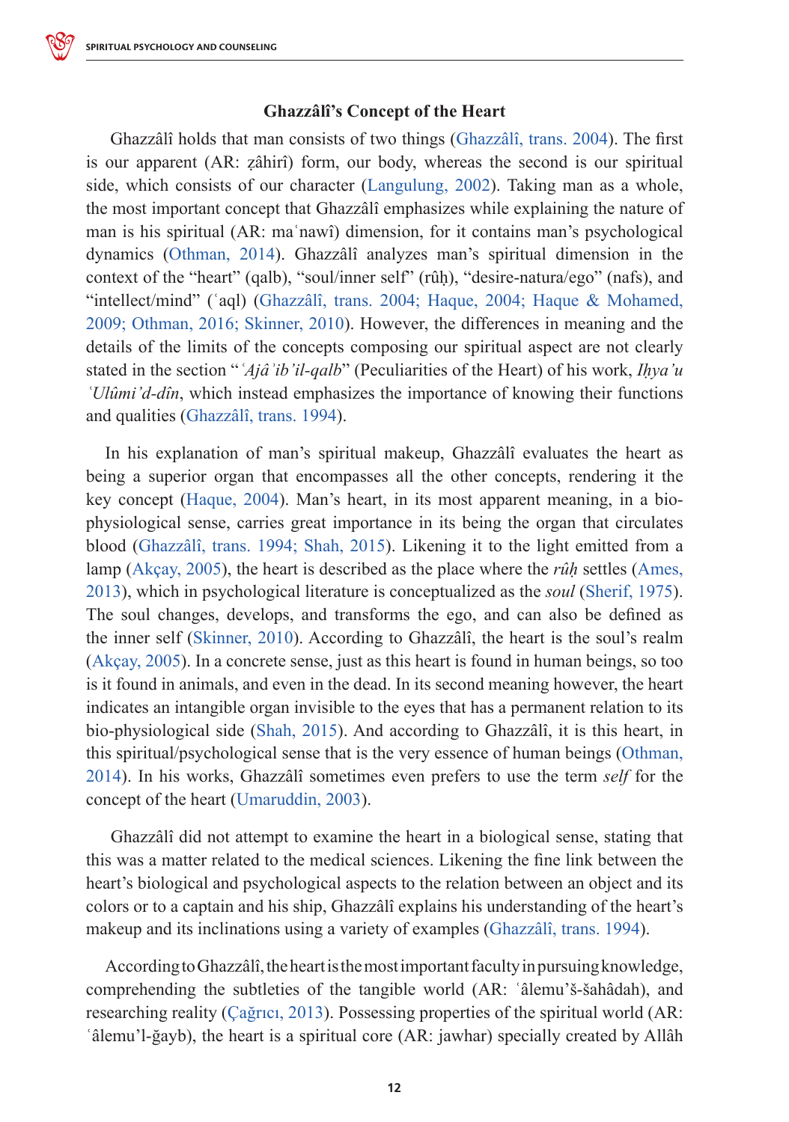# **Ghazzâlî's Concept of the Heart**

Ghazzâlî holds that man consists of two things (Ghazzâlî, trans. 2004). The first is our apparent (AR: ẓâhirî) form, our body, whereas the second is our spiritual side, which consists of our character (Langulung, 2002). Taking man as a whole, the most important concept that Ghazzâlî emphasizes while explaining the nature of man is his spiritual (AR: maʿnawî) dimension, for it contains man's psychological dynamics (Othman, 2014). Ghazzâlî analyzes man's spiritual dimension in the context of the "heart" (qalb), "soul/inner self" (rûḥ), "desire-natura/ego" (nafs), and "intellect/mind" (ʿaql) (Ghazzâlî, trans. 2004; Haque, 2004; Haque & Mohamed, 2009; Othman, 2016; Skinner, 2010). However, the differences in meaning and the details of the limits of the concepts composing our spiritual aspect are not clearly stated in the section "*ʿAjâʾib'il-qalb*" (Peculiarities of the Heart) of his work, *Iḥya'u ʿUlûmi'd-dîn*, which instead emphasizes the importance of knowing their functions and qualities (Ghazzâlî, trans. 1994).

In his explanation of man's spiritual makeup, Ghazzâlî evaluates the heart as being a superior organ that encompasses all the other concepts, rendering it the key concept (Haque, 2004). Man's heart, in its most apparent meaning, in a biophysiological sense, carries great importance in its being the organ that circulates blood (Ghazzâlî, trans. 1994; Shah, 2015). Likening it to the light emitted from a lamp (Akçay, 2005), the heart is described as the place where the *rûḥ* settles (Ames, 2013), which in psychological literature is conceptualized as the *soul* (Sherif, 1975). The soul changes, develops, and transforms the ego, and can also be defined as the inner self (Skinner, 2010). According to Ghazzâlî, the heart is the soul's realm (Akçay, 2005). In a concrete sense, just as this heart is found in human beings, so too is it found in animals, and even in the dead. In its second meaning however, the heart indicates an intangible organ invisible to the eyes that has a permanent relation to its bio-physiological side (Shah, 2015). And according to Ghazzâlî, it is this heart, in this spiritual/psychological sense that is the very essence of human beings (Othman, 2014). In his works, Ghazzâlî sometimes even prefers to use the term *self* for the concept of the heart (Umaruddin, 2003).

 Ghazzâlî did not attempt to examine the heart in a biological sense, stating that this was a matter related to the medical sciences. Likening the fine link between the heart's biological and psychological aspects to the relation between an object and its colors or to a captain and his ship, Ghazzâlî explains his understanding of the heart's makeup and its inclinations using a variety of examples (Ghazzâlî, trans. 1994).

According to Ghazzâlî, the heart is the most important faculty in pursuing knowledge, comprehending the subtleties of the tangible world (AR: ʿâlemu'š-šahâdah), and researching reality (Çağrıcı, 2013). Possessing properties of the spiritual world (AR: ʿâlemu'l-ğayb), the heart is a spiritual core (AR: jawhar) specially created by Allâh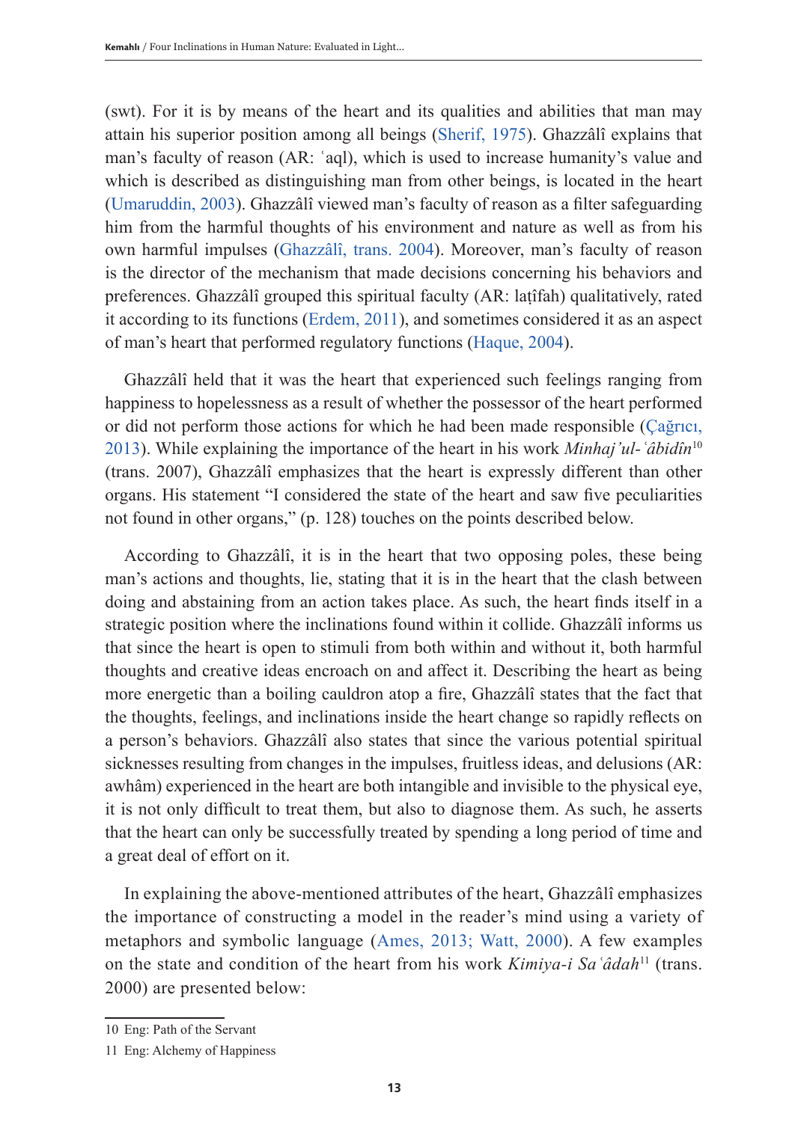(swt). For it is by means of the heart and its qualities and abilities that man may attain his superior position among all beings (Sherif, 1975). Ghazzâlî explains that man's faculty of reason (AR: ʿaql), which is used to increase humanity's value and which is described as distinguishing man from other beings, is located in the heart (Umaruddin, 2003). Ghazzâlî viewed man's faculty of reason as a filter safeguarding him from the harmful thoughts of his environment and nature as well as from his own harmful impulses (Ghazzâlî, trans. 2004). Moreover, man's faculty of reason is the director of the mechanism that made decisions concerning his behaviors and preferences. Ghazzâlî grouped this spiritual faculty (AR: laṭîfah) qualitatively, rated it according to its functions (Erdem, 2011), and sometimes considered it as an aspect of man's heart that performed regulatory functions (Haque, 2004).

Ghazzâlî held that it was the heart that experienced such feelings ranging from happiness to hopelessness as a result of whether the possessor of the heart performed or did not perform those actions for which he had been made responsible (Çağrıcı, 2013). While explaining the importance of the heart in his work *Minhaj'ul-ʿâbidîn*<sup>10</sup> (trans. 2007), Ghazzâlî emphasizes that the heart is expressly different than other organs. His statement "I considered the state of the heart and saw five peculiarities not found in other organs," (p. 128) touches on the points described below.

According to Ghazzâlî, it is in the heart that two opposing poles, these being man's actions and thoughts, lie, stating that it is in the heart that the clash between doing and abstaining from an action takes place. As such, the heart finds itself in a strategic position where the inclinations found within it collide. Ghazzâlî informs us that since the heart is open to stimuli from both within and without it, both harmful thoughts and creative ideas encroach on and affect it. Describing the heart as being more energetic than a boiling cauldron atop a fire, Ghazzâlî states that the fact that the thoughts, feelings, and inclinations inside the heart change so rapidly reflects on a person's behaviors. Ghazzâlî also states that since the various potential spiritual sicknesses resulting from changes in the impulses, fruitless ideas, and delusions (AR: awhâm) experienced in the heart are both intangible and invisible to the physical eye, it is not only difficult to treat them, but also to diagnose them. As such, he asserts that the heart can only be successfully treated by spending a long period of time and a great deal of effort on it.

In explaining the above-mentioned attributes of the heart, Ghazzâlî emphasizes the importance of constructing a model in the reader's mind using a variety of metaphors and symbolic language (Ames, 2013; Watt, 2000). A few examples on the state and condition of the heart from his work *Kimiya-i Saʿâdah*<sup>11</sup> (trans. 2000) are presented below:

<sup>10</sup> Eng: Path of the Servant

<sup>11</sup> Eng: Alchemy of Happiness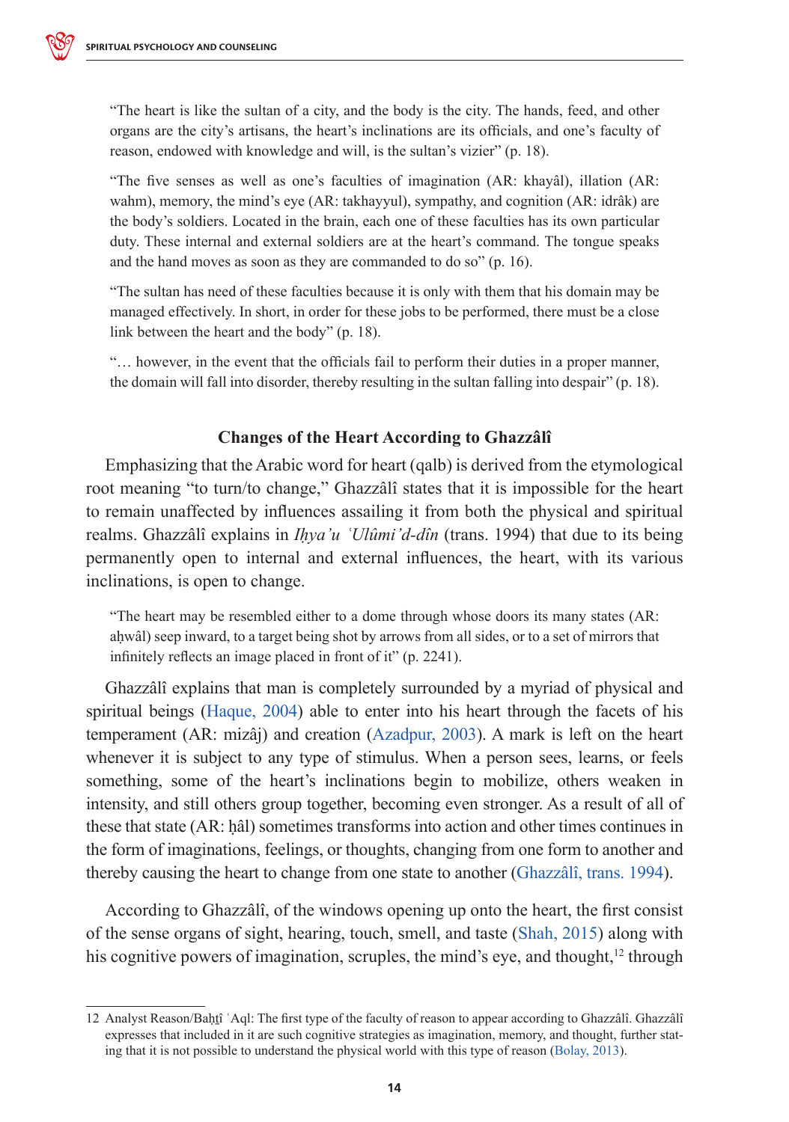"The heart is like the sultan of a city, and the body is the city. The hands, feed, and other organs are the city's artisans, the heart's inclinations are its officials, and one's faculty of reason, endowed with knowledge and will, is the sultan's vizier" (p. 18).

"The five senses as well as one's faculties of imagination (AR: khayâl), illation (AR: wahm), memory, the mind's eye (AR: takhayyul), sympathy, and cognition (AR: idrâk) are the body's soldiers. Located in the brain, each one of these faculties has its own particular duty. These internal and external soldiers are at the heart's command. The tongue speaks and the hand moves as soon as they are commanded to do so" (p. 16).

"The sultan has need of these faculties because it is only with them that his domain may be managed effectively. In short, in order for these jobs to be performed, there must be a close link between the heart and the body" (p. 18).

"… however, in the event that the officials fail to perform their duties in a proper manner, the domain will fall into disorder, thereby resulting in the sultan falling into despair" (p. 18).

# **Changes of the Heart According to Ghazzâlî**

Emphasizing that the Arabic word for heart (qalb) is derived from the etymological root meaning "to turn/to change," Ghazzâlî states that it is impossible for the heart to remain unaffected by influences assailing it from both the physical and spiritual realms. Ghazzâlî explains in *Iḥya'u ʿUlûmi'd-dîn* (trans. 1994) that due to its being permanently open to internal and external influences, the heart, with its various inclinations, is open to change.

"The heart may be resembled either to a dome through whose doors its many states (AR: ahwâl) seep inward, to a target being shot by arrows from all sides, or to a set of mirrors that infinitely reflects an image placed in front of it" (p. 2241).

Ghazzâlî explains that man is completely surrounded by a myriad of physical and spiritual beings (Haque, 2004) able to enter into his heart through the facets of his temperament (AR: mizâj) and creation (Azadpur, 2003). A mark is left on the heart whenever it is subject to any type of stimulus. When a person sees, learns, or feels something, some of the heart's inclinations begin to mobilize, others weaken in intensity, and still others group together, becoming even stronger. As a result of all of these that state (AR: ḥâl) sometimes transforms into action and other times continues in the form of imaginations, feelings, or thoughts, changing from one form to another and thereby causing the heart to change from one state to another (Ghazzâlî, trans. 1994).

According to Ghazzâlî, of the windows opening up onto the heart, the first consist of the sense organs of sight, hearing, touch, smell, and taste (Shah, 2015) along with his cognitive powers of imagination, scruples, the mind's eye, and thought, $12$  through

<sup>12</sup> Analyst Reason/Baḥṯî ʿAql: The first type of the faculty of reason to appear according to Ghazzâlî. Ghazzâlî expresses that included in it are such cognitive strategies as imagination, memory, and thought, further stating that it is not possible to understand the physical world with this type of reason (Bolay, 2013).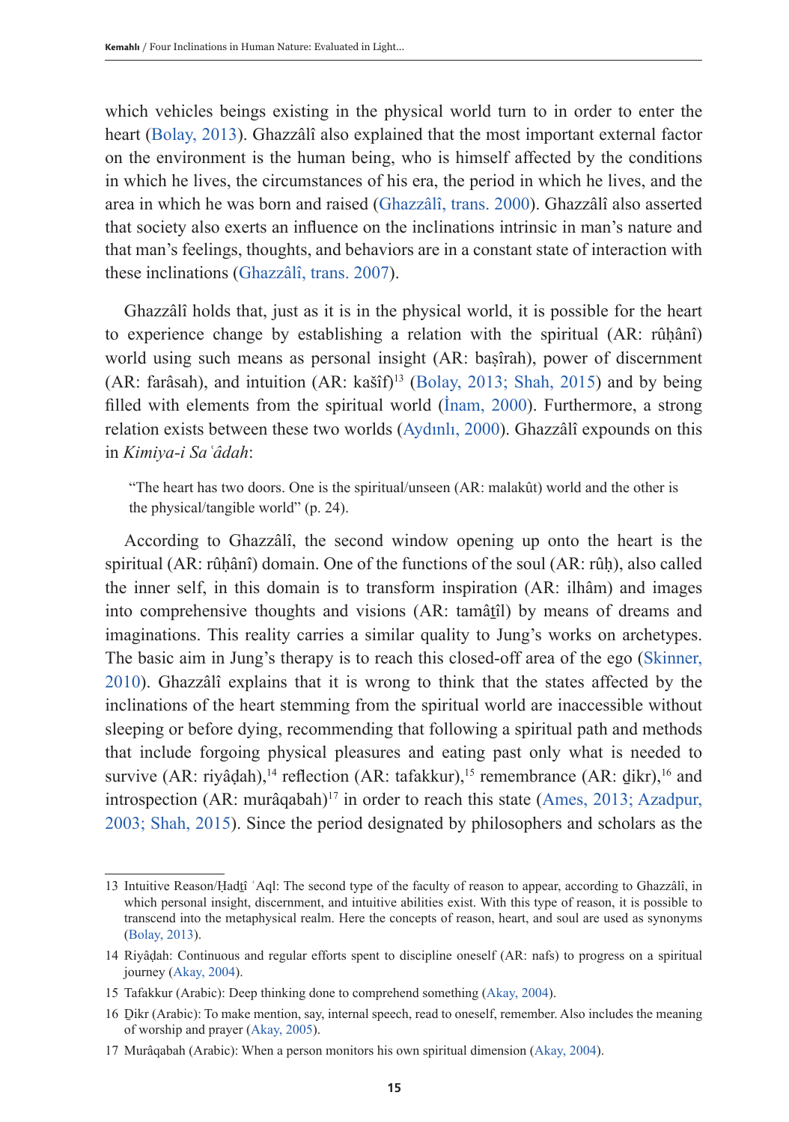which vehicles beings existing in the physical world turn to in order to enter the heart (Bolay, 2013). Ghazzâlî also explained that the most important external factor on the environment is the human being, who is himself affected by the conditions in which he lives, the circumstances of his era, the period in which he lives, and the area in which he was born and raised (Ghazzâlî, trans. 2000). Ghazzâlî also asserted that society also exerts an influence on the inclinations intrinsic in man's nature and that man's feelings, thoughts, and behaviors are in a constant state of interaction with these inclinations (Ghazzâlî, trans. 2007).

Ghazzâlî holds that, just as it is in the physical world, it is possible for the heart to experience change by establishing a relation with the spiritual (AR: rûhânî) world using such means as personal insight (AR: baṣîrah), power of discernment (AR: farâsah), and intuition (AR: kašîf)<sup>13</sup> (Bolay, 2013; Shah, 2015) and by being filled with elements from the spiritual world (İnam, 2000). Furthermore, a strong relation exists between these two worlds (Aydınlı, 2000). Ghazzâlî expounds on this in *Kimiya-i Saʿâdah*:

"The heart has two doors. One is the spiritual/unseen (AR: malakût) world and the other is the physical/tangible world" (p. 24).

According to Ghazzâlî, the second window opening up onto the heart is the spiritual (AR: rûḥânî) domain. One of the functions of the soul (AR: rûḥ), also called the inner self, in this domain is to transform inspiration (AR: ilhâm) and images into comprehensive thoughts and visions (AR: tamâtîl) by means of dreams and imaginations. This reality carries a similar quality to Jung's works on archetypes. The basic aim in Jung's therapy is to reach this closed-off area of the ego (Skinner, 2010). Ghazzâlî explains that it is wrong to think that the states affected by the inclinations of the heart stemming from the spiritual world are inaccessible without sleeping or before dying, recommending that following a spiritual path and methods that include forgoing physical pleasures and eating past only what is needed to survive (AR: riyâḍah),<sup>14</sup> reflection (AR: tafakkur),<sup>15</sup> remembrance (AR: dikr),<sup>16</sup> and introspection (AR: murâqabah)<sup>17</sup> in order to reach this state (Ames, 2013; Azadpur, 2003; Shah, 2015). Since the period designated by philosophers and scholars as the

<sup>13</sup> Intuitive Reason/Ḥadtî ʿAql: The second type of the faculty of reason to appear, according to Ghazzâlî, in which personal insight, discernment, and intuitive abilities exist. With this type of reason, it is possible to transcend into the metaphysical realm. Here the concepts of reason, heart, and soul are used as synonyms (Bolay, 2013).

<sup>14</sup> Riyâḍah: Continuous and regular efforts spent to discipline oneself (AR: nafs) to progress on a spiritual journey (Akay, 2004).

<sup>15</sup> Tafakkur (Arabic): Deep thinking done to comprehend something (Akay, 2004).

<sup>16</sup> Ḏikr (Arabic): To make mention, say, internal speech, read to oneself, remember. Also includes the meaning of worship and prayer (Akay, 2005).

<sup>17</sup> Murâqabah (Arabic): When a person monitors his own spiritual dimension (Akay, 2004).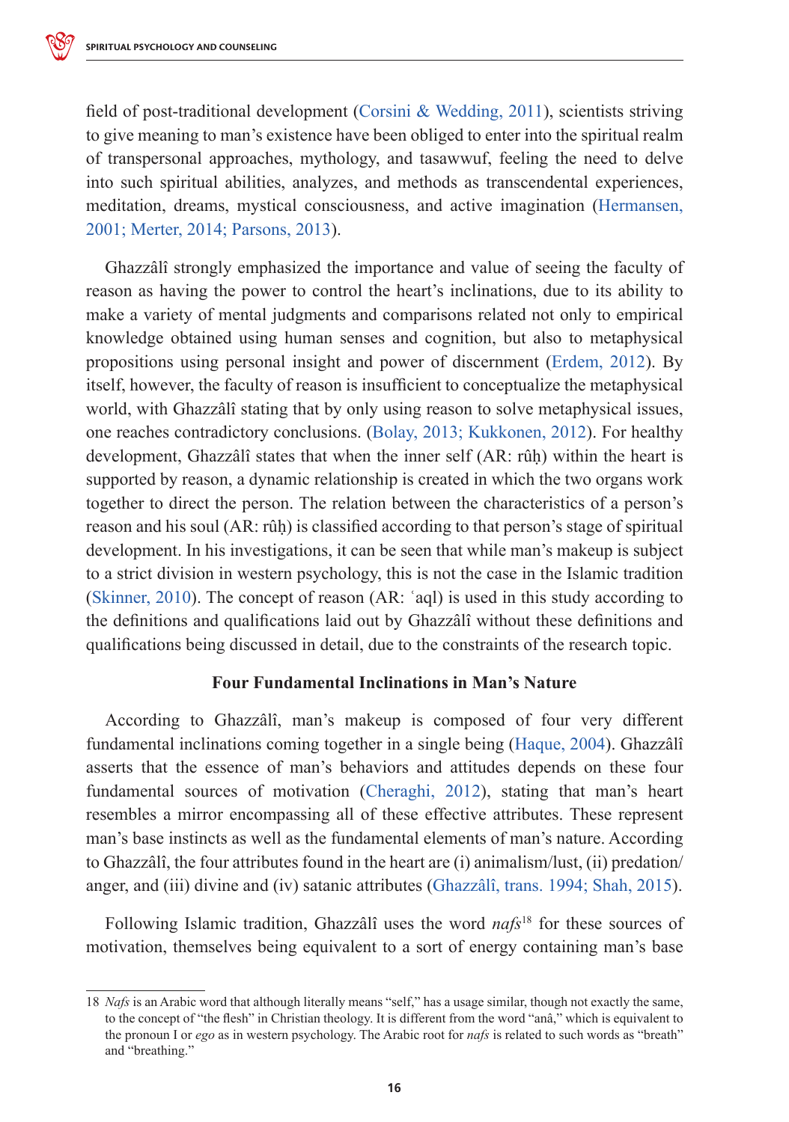field of post-traditional development (Corsini & Wedding, 2011), scientists striving to give meaning to man's existence have been obliged to enter into the spiritual realm of transpersonal approaches, mythology, and tasawwuf, feeling the need to delve into such spiritual abilities, analyzes, and methods as transcendental experiences, meditation, dreams, mystical consciousness, and active imagination (Hermansen, 2001; Merter, 2014; Parsons, 2013).

Ghazzâlî strongly emphasized the importance and value of seeing the faculty of reason as having the power to control the heart's inclinations, due to its ability to make a variety of mental judgments and comparisons related not only to empirical knowledge obtained using human senses and cognition, but also to metaphysical propositions using personal insight and power of discernment (Erdem, 2012). By itself, however, the faculty of reason is insufficient to conceptualize the metaphysical world, with Ghazzâlî stating that by only using reason to solve metaphysical issues, one reaches contradictory conclusions. (Bolay, 2013; Kukkonen, 2012). For healthy development, Ghazzâlî states that when the inner self (AR: rûḥ) within the heart is supported by reason, a dynamic relationship is created in which the two organs work together to direct the person. The relation between the characteristics of a person's reason and his soul (AR: rûḥ) is classified according to that person's stage of spiritual development. In his investigations, it can be seen that while man's makeup is subject to a strict division in western psychology, this is not the case in the Islamic tradition (Skinner, 2010). The concept of reason (AR: ʿaql) is used in this study according to the definitions and qualifications laid out by Ghazzâlî without these definitions and qualifications being discussed in detail, due to the constraints of the research topic.

# **Four Fundamental Inclinations in Man's Nature**

According to Ghazzâlî, man's makeup is composed of four very different fundamental inclinations coming together in a single being (Haque, 2004). Ghazzâlî asserts that the essence of man's behaviors and attitudes depends on these four fundamental sources of motivation (Cheraghi, 2012), stating that man's heart resembles a mirror encompassing all of these effective attributes. These represent man's base instincts as well as the fundamental elements of man's nature. According to Ghazzâlî, the four attributes found in the heart are (i) animalism/lust, (ii) predation/ anger, and (iii) divine and (iv) satanic attributes (Ghazzâlî, trans. 1994; Shah, 2015).

Following Islamic tradition, Ghazzâlî uses the word *nafs*18 for these sources of motivation, themselves being equivalent to a sort of energy containing man's base

<sup>18</sup> *Nafs* is an Arabic word that although literally means "self," has a usage similar, though not exactly the same, to the concept of "the flesh" in Christian theology. It is different from the word "anâ," which is equivalent to the pronoun I or *ego* as in western psychology. The Arabic root for *nafs* is related to such words as "breath" and "breathing."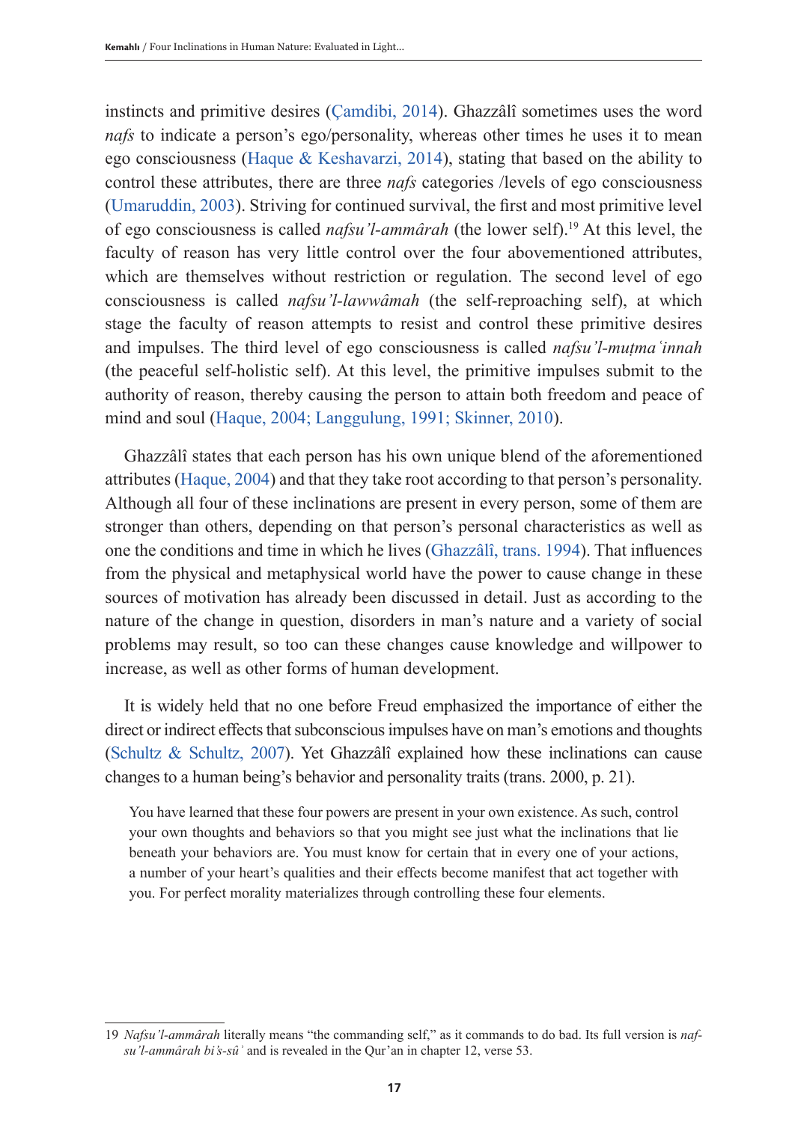instincts and primitive desires (Çamdibi, 2014). Ghazzâlî sometimes uses the word *nafs* to indicate a person's ego/personality, whereas other times he uses it to mean ego consciousness (Haque & Keshavarzi, 2014), stating that based on the ability to control these attributes, there are three *nafs* categories /levels of ego consciousness (Umaruddin, 2003). Striving for continued survival, the first and most primitive level of ego consciousness is called *nafsu'l-ammârah* (the lower self).19 At this level, the faculty of reason has very little control over the four abovementioned attributes, which are themselves without restriction or regulation. The second level of ego consciousness is called *nafsu'l-lawwâmah* (the self-reproaching self), at which stage the faculty of reason attempts to resist and control these primitive desires and impulses. The third level of ego consciousness is called *nafsu'l-muṭmaʿinnah* (the peaceful self-holistic self). At this level, the primitive impulses submit to the authority of reason, thereby causing the person to attain both freedom and peace of mind and soul (Haque, 2004; Langgulung, 1991; Skinner, 2010).

Ghazzâlî states that each person has his own unique blend of the aforementioned attributes (Haque, 2004) and that they take root according to that person's personality. Although all four of these inclinations are present in every person, some of them are stronger than others, depending on that person's personal characteristics as well as one the conditions and time in which he lives (Ghazzâlî, trans. 1994). That influences from the physical and metaphysical world have the power to cause change in these sources of motivation has already been discussed in detail. Just as according to the nature of the change in question, disorders in man's nature and a variety of social problems may result, so too can these changes cause knowledge and willpower to increase, as well as other forms of human development.

It is widely held that no one before Freud emphasized the importance of either the direct or indirect effects that subconscious impulses have on man's emotions and thoughts (Schultz & Schultz, 2007). Yet Ghazzâlî explained how these inclinations can cause changes to a human being's behavior and personality traits (trans. 2000, p. 21).

You have learned that these four powers are present in your own existence. As such, control your own thoughts and behaviors so that you might see just what the inclinations that lie beneath your behaviors are. You must know for certain that in every one of your actions, a number of your heart's qualities and their effects become manifest that act together with you. For perfect morality materializes through controlling these four elements.

<sup>19</sup> *Nafsu'l-ammârah* literally means "the commanding self," as it commands to do bad. Its full version is *nafsu'l-ammârah bi's-sûʾ* and is revealed in the Qur'an in chapter 12, verse 53.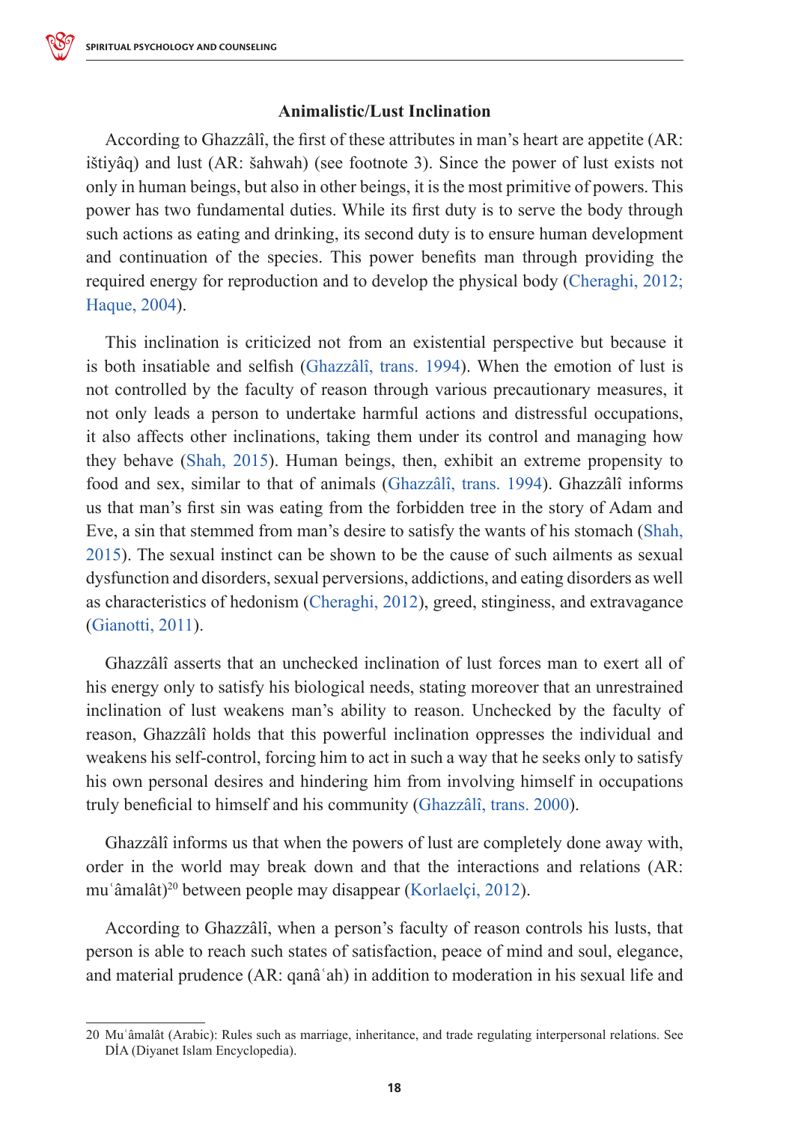# **Animalistic/Lust Inclination**

According to Ghazzâlî, the first of these attributes in man's heart are appetite (AR: ištiyâq) and lust (AR: šahwah) (see footnote 3). Since the power of lust exists not only in human beings, but also in other beings, it is the most primitive of powers. This power has two fundamental duties. While its first duty is to serve the body through such actions as eating and drinking, its second duty is to ensure human development and continuation of the species. This power benefits man through providing the required energy for reproduction and to develop the physical body (Cheraghi, 2012; Haque, 2004).

This inclination is criticized not from an existential perspective but because it is both insatiable and selfish (Ghazzâlî, trans. 1994). When the emotion of lust is not controlled by the faculty of reason through various precautionary measures, it not only leads a person to undertake harmful actions and distressful occupations, it also affects other inclinations, taking them under its control and managing how they behave (Shah, 2015). Human beings, then, exhibit an extreme propensity to food and sex, similar to that of animals (Ghazzâlî, trans. 1994). Ghazzâlî informs us that man's first sin was eating from the forbidden tree in the story of Adam and Eve, a sin that stemmed from man's desire to satisfy the wants of his stomach (Shah, 2015). The sexual instinct can be shown to be the cause of such ailments as sexual dysfunction and disorders, sexual perversions, addictions, and eating disorders as well as characteristics of hedonism (Cheraghi, 2012), greed, stinginess, and extravagance (Gianotti, 2011).

Ghazzâlî asserts that an unchecked inclination of lust forces man to exert all of his energy only to satisfy his biological needs, stating moreover that an unrestrained inclination of lust weakens man's ability to reason. Unchecked by the faculty of reason, Ghazzâlî holds that this powerful inclination oppresses the individual and weakens his self-control, forcing him to act in such a way that he seeks only to satisfy his own personal desires and hindering him from involving himself in occupations truly beneficial to himself and his community (Ghazzâlî, trans. 2000).

Ghazzâlî informs us that when the powers of lust are completely done away with, order in the world may break down and that the interactions and relations (AR: mu âmalât)<sup>20</sup> between people may disappear (Korlaelçi, 2012).

According to Ghazzâlî, when a person's faculty of reason controls his lusts, that person is able to reach such states of satisfaction, peace of mind and soul, elegance, and material prudence (AR: qanâʿah) in addition to moderation in his sexual life and

<sup>20</sup> Muʿâmalât (Arabic): Rules such as marriage, inheritance, and trade regulating interpersonal relations. See DİA (Diyanet Islam Encyclopedia).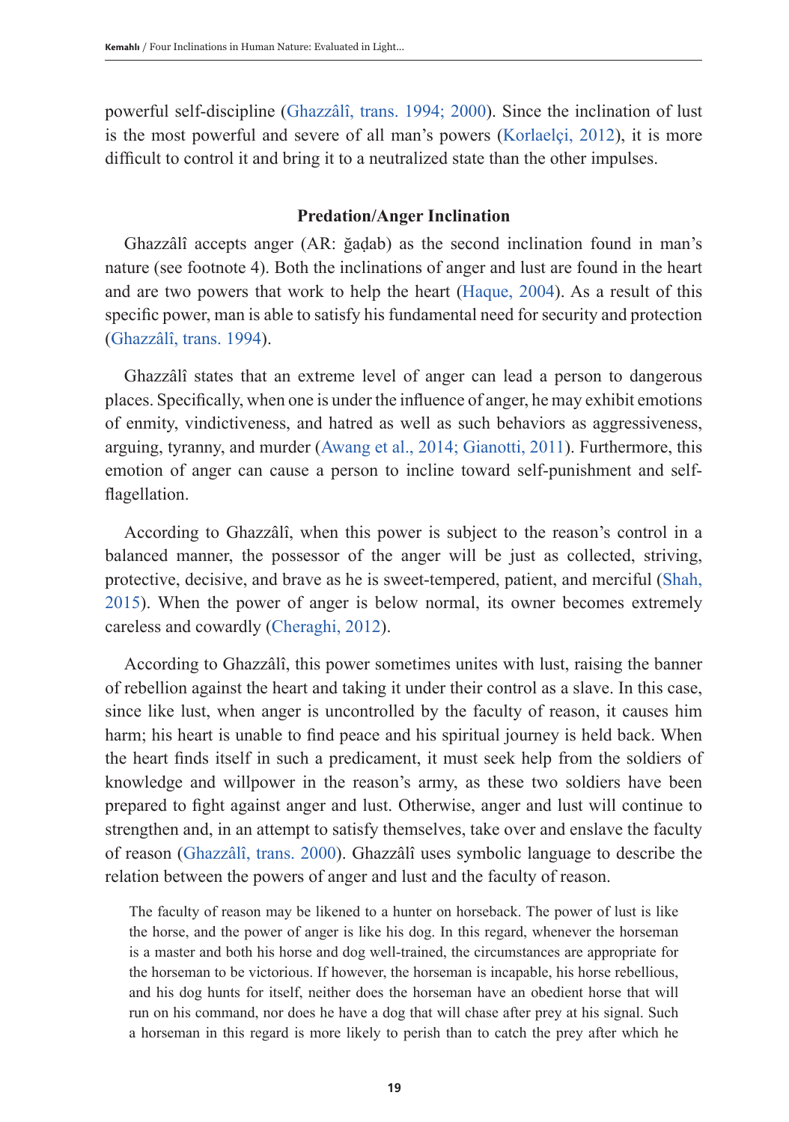powerful self-discipline (Ghazzâlî, trans. 1994; 2000). Since the inclination of lust is the most powerful and severe of all man's powers (Korlaelçi, 2012), it is more difficult to control it and bring it to a neutralized state than the other impulses.

## **Predation/Anger Inclination**

Ghazzâlî accepts anger (AR: ğaḍab) as the second inclination found in man's nature (see footnote 4). Both the inclinations of anger and lust are found in the heart and are two powers that work to help the heart (Haque, 2004). As a result of this specific power, man is able to satisfy his fundamental need for security and protection (Ghazzâlî, trans. 1994).

Ghazzâlî states that an extreme level of anger can lead a person to dangerous places. Specifically, when one is under the influence of anger, he may exhibit emotions of enmity, vindictiveness, and hatred as well as such behaviors as aggressiveness, arguing, tyranny, and murder (Awang et al., 2014; Gianotti, 2011). Furthermore, this emotion of anger can cause a person to incline toward self-punishment and selfflagellation.

According to Ghazzâlî, when this power is subject to the reason's control in a balanced manner, the possessor of the anger will be just as collected, striving, protective, decisive, and brave as he is sweet-tempered, patient, and merciful (Shah, 2015). When the power of anger is below normal, its owner becomes extremely careless and cowardly (Cheraghi, 2012).

According to Ghazzâlî, this power sometimes unites with lust, raising the banner of rebellion against the heart and taking it under their control as a slave. In this case, since like lust, when anger is uncontrolled by the faculty of reason, it causes him harm; his heart is unable to find peace and his spiritual journey is held back. When the heart finds itself in such a predicament, it must seek help from the soldiers of knowledge and willpower in the reason's army, as these two soldiers have been prepared to fight against anger and lust. Otherwise, anger and lust will continue to strengthen and, in an attempt to satisfy themselves, take over and enslave the faculty of reason (Ghazzâlî, trans. 2000). Ghazzâlî uses symbolic language to describe the relation between the powers of anger and lust and the faculty of reason.

The faculty of reason may be likened to a hunter on horseback. The power of lust is like the horse, and the power of anger is like his dog. In this regard, whenever the horseman is a master and both his horse and dog well-trained, the circumstances are appropriate for the horseman to be victorious. If however, the horseman is incapable, his horse rebellious, and his dog hunts for itself, neither does the horseman have an obedient horse that will run on his command, nor does he have a dog that will chase after prey at his signal. Such a horseman in this regard is more likely to perish than to catch the prey after which he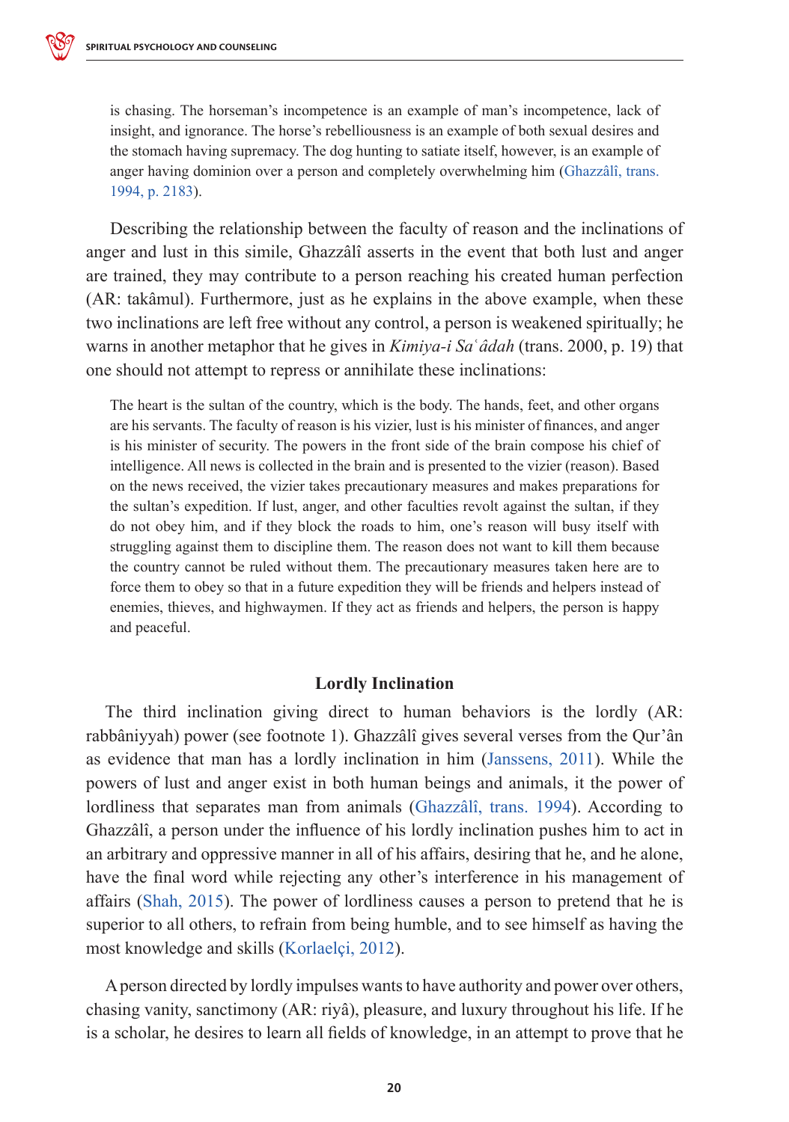is chasing. The horseman's incompetence is an example of man's incompetence, lack of insight, and ignorance. The horse's rebelliousness is an example of both sexual desires and the stomach having supremacy. The dog hunting to satiate itself, however, is an example of anger having dominion over a person and completely overwhelming him (Ghazzâlî, trans. 1994, p. 2183).

 Describing the relationship between the faculty of reason and the inclinations of anger and lust in this simile, Ghazzâlî asserts in the event that both lust and anger are trained, they may contribute to a person reaching his created human perfection (AR: takâmul). Furthermore, just as he explains in the above example, when these two inclinations are left free without any control, a person is weakened spiritually; he warns in another metaphor that he gives in *Kimiya-i Sa*ʿ*âdah* (trans. 2000, p. 19) that one should not attempt to repress or annihilate these inclinations:

The heart is the sultan of the country, which is the body. The hands, feet, and other organs are his servants. The faculty of reason is his vizier, lust is his minister of finances, and anger is his minister of security. The powers in the front side of the brain compose his chief of intelligence. All news is collected in the brain and is presented to the vizier (reason). Based on the news received, the vizier takes precautionary measures and makes preparations for the sultan's expedition. If lust, anger, and other faculties revolt against the sultan, if they do not obey him, and if they block the roads to him, one's reason will busy itself with struggling against them to discipline them. The reason does not want to kill them because the country cannot be ruled without them. The precautionary measures taken here are to force them to obey so that in a future expedition they will be friends and helpers instead of enemies, thieves, and highwaymen. If they act as friends and helpers, the person is happy and peaceful.

### **Lordly Inclination**

The third inclination giving direct to human behaviors is the lordly (AR: rabbâniyyah) power (see footnote 1). Ghazzâlî gives several verses from the Qur'ân as evidence that man has a lordly inclination in him (Janssens, 2011). While the powers of lust and anger exist in both human beings and animals, it the power of lordliness that separates man from animals (Ghazzâlî, trans. 1994). According to Ghazzâlî, a person under the influence of his lordly inclination pushes him to act in an arbitrary and oppressive manner in all of his affairs, desiring that he, and he alone, have the final word while rejecting any other's interference in his management of affairs (Shah, 2015). The power of lordliness causes a person to pretend that he is superior to all others, to refrain from being humble, and to see himself as having the most knowledge and skills (Korlaelçi, 2012).

A person directed by lordly impulses wants to have authority and power over others, chasing vanity, sanctimony (AR: riyâ), pleasure, and luxury throughout his life. If he is a scholar, he desires to learn all fields of knowledge, in an attempt to prove that he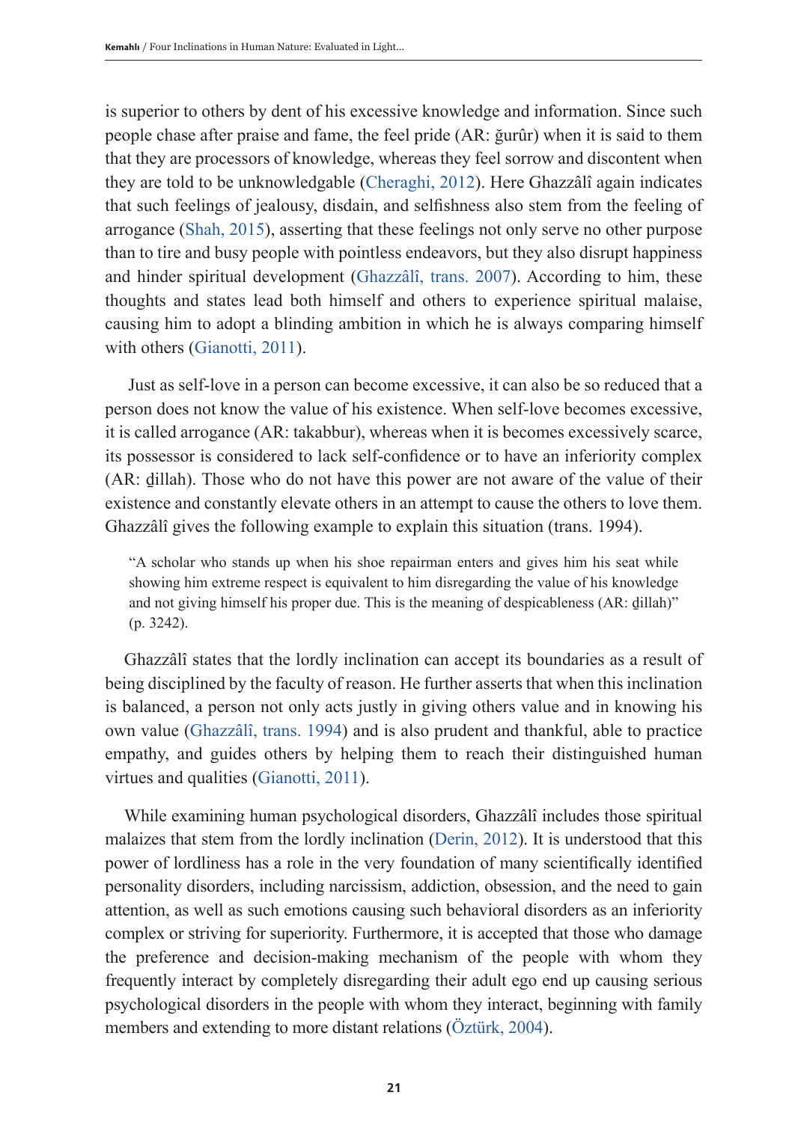is superior to others by dent of his excessive knowledge and information. Since such people chase after praise and fame, the feel pride (AR: ğurûr) when it is said to them that they are processors of knowledge, whereas they feel sorrow and discontent when they are told to be unknowledgable (Cheraghi, 2012). Here Ghazzâlî again indicates that such feelings of jealousy, disdain, and selfishness also stem from the feeling of arrogance (Shah, 2015), asserting that these feelings not only serve no other purpose than to tire and busy people with pointless endeavors, but they also disrupt happiness and hinder spiritual development (Ghazzâlî, trans. 2007). According to him, these thoughts and states lead both himself and others to experience spiritual malaise, causing him to adopt a blinding ambition in which he is always comparing himself with others (Gianotti, 2011).

 Just as self-love in a person can become excessive, it can also be so reduced that a person does not know the value of his existence. When self-love becomes excessive, it is called arrogance (AR: takabbur), whereas when it is becomes excessively scarce, its possessor is considered to lack self-confidence or to have an inferiority complex (AR: ḏillah). Those who do not have this power are not aware of the value of their existence and constantly elevate others in an attempt to cause the others to love them. Ghazzâlî gives the following example to explain this situation (trans. 1994).

"A scholar who stands up when his shoe repairman enters and gives him his seat while showing him extreme respect is equivalent to him disregarding the value of his knowledge and not giving himself his proper due. This is the meaning of despicableness (AR: ḏillah)" (p. 3242).

Ghazzâlî states that the lordly inclination can accept its boundaries as a result of being disciplined by the faculty of reason. He further asserts that when this inclination is balanced, a person not only acts justly in giving others value and in knowing his own value (Ghazzâlî, trans. 1994) and is also prudent and thankful, able to practice empathy, and guides others by helping them to reach their distinguished human virtues and qualities (Gianotti, 2011).

While examining human psychological disorders, Ghazzâlî includes those spiritual malaizes that stem from the lordly inclination (Derin, 2012). It is understood that this power of lordliness has a role in the very foundation of many scientifically identified personality disorders, including narcissism, addiction, obsession, and the need to gain attention, as well as such emotions causing such behavioral disorders as an inferiority complex or striving for superiority. Furthermore, it is accepted that those who damage the preference and decision-making mechanism of the people with whom they frequently interact by completely disregarding their adult ego end up causing serious psychological disorders in the people with whom they interact, beginning with family members and extending to more distant relations (Öztürk, 2004).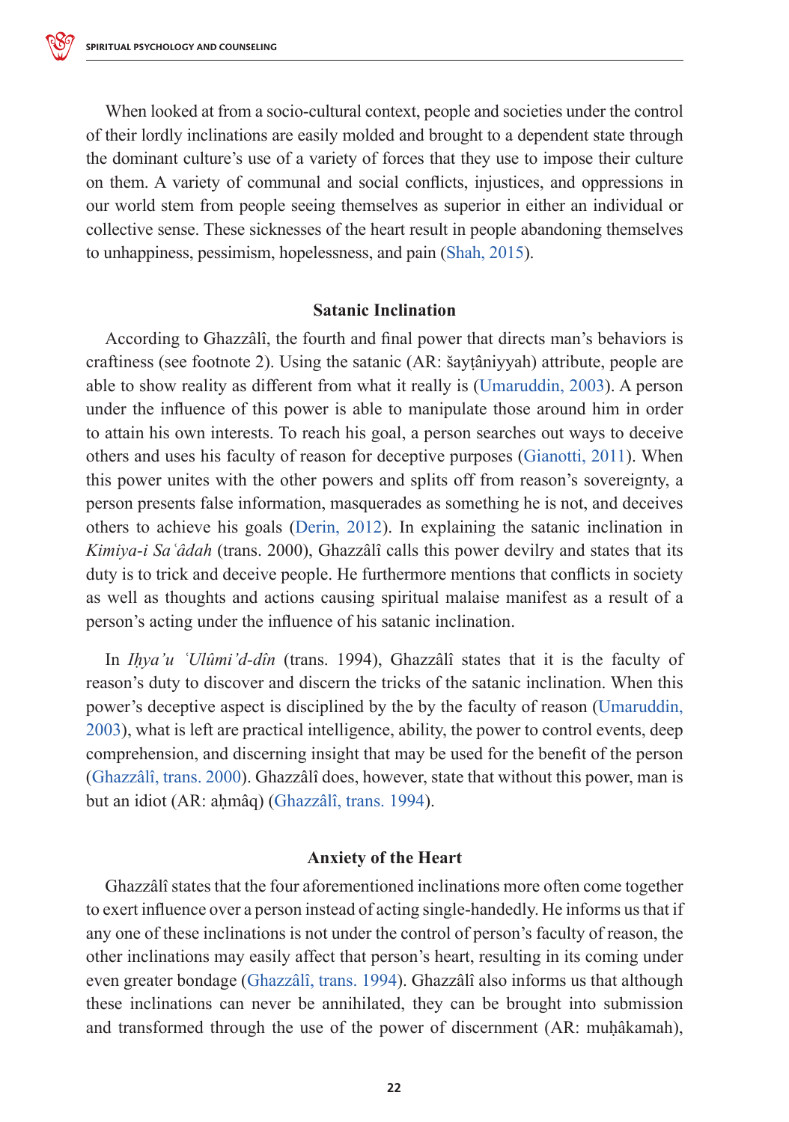When looked at from a socio-cultural context, people and societies under the control of their lordly inclinations are easily molded and brought to a dependent state through the dominant culture's use of a variety of forces that they use to impose their culture on them. A variety of communal and social conflicts, injustices, and oppressions in our world stem from people seeing themselves as superior in either an individual or collective sense. These sicknesses of the heart result in people abandoning themselves to unhappiness, pessimism, hopelessness, and pain (Shah, 2015).

### **Satanic Inclination**

According to Ghazzâlî, the fourth and final power that directs man's behaviors is craftiness (see footnote 2). Using the satanic (AR: šayṭâniyyah) attribute, people are able to show reality as different from what it really is (Umaruddin, 2003). A person under the influence of this power is able to manipulate those around him in order to attain his own interests. To reach his goal, a person searches out ways to deceive others and uses his faculty of reason for deceptive purposes (Gianotti, 2011). When this power unites with the other powers and splits off from reason's sovereignty, a person presents false information, masquerades as something he is not, and deceives others to achieve his goals (Derin, 2012). In explaining the satanic inclination in *Kimiya-i Saʿâdah* (trans. 2000), Ghazzâlî calls this power devilry and states that its duty is to trick and deceive people. He furthermore mentions that conflicts in society as well as thoughts and actions causing spiritual malaise manifest as a result of a person's acting under the influence of his satanic inclination.

In *Iḥya'u ʿUlûmi'd-dîn* (trans. 1994), Ghazzâlî states that it is the faculty of reason's duty to discover and discern the tricks of the satanic inclination. When this power's deceptive aspect is disciplined by the by the faculty of reason (Umaruddin, 2003), what is left are practical intelligence, ability, the power to control events, deep comprehension, and discerning insight that may be used for the benefit of the person (Ghazzâlî, trans. 2000). Ghazzâlî does, however, state that without this power, man is but an idiot (AR: ahmâq) (Ghazzâlî, trans. 1994).

## **Anxiety of the Heart**

Ghazzâlî states that the four aforementioned inclinations more often come together to exert influence over a person instead of acting single-handedly. He informs us that if any one of these inclinations is not under the control of person's faculty of reason, the other inclinations may easily affect that person's heart, resulting in its coming under even greater bondage (Ghazzâlî, trans. 1994). Ghazzâlî also informs us that although these inclinations can never be annihilated, they can be brought into submission and transformed through the use of the power of discernment (AR: muḥâkamah),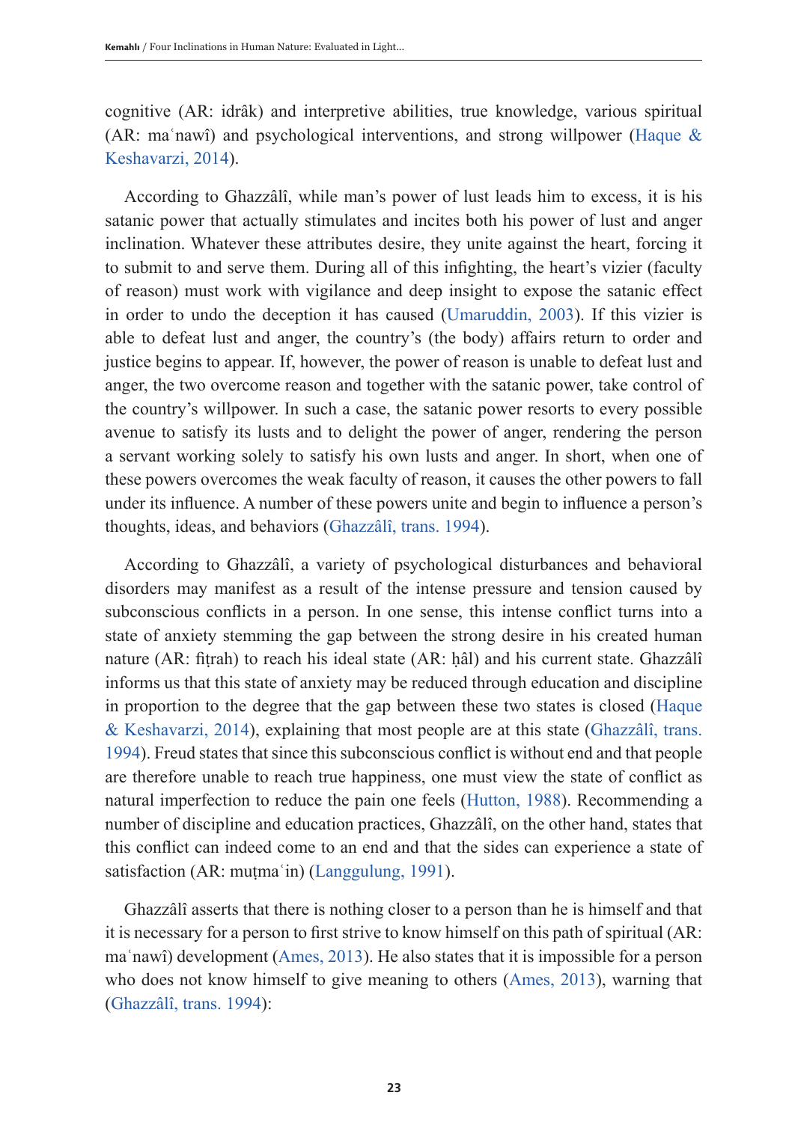cognitive (AR: idrâk) and interpretive abilities, true knowledge, various spiritual (AR: maʿnawî) and psychological interventions, and strong willpower (Haque & Keshavarzi, 2014).

According to Ghazzâlî, while man's power of lust leads him to excess, it is his satanic power that actually stimulates and incites both his power of lust and anger inclination. Whatever these attributes desire, they unite against the heart, forcing it to submit to and serve them. During all of this infighting, the heart's vizier (faculty of reason) must work with vigilance and deep insight to expose the satanic effect in order to undo the deception it has caused (Umaruddin, 2003). If this vizier is able to defeat lust and anger, the country's (the body) affairs return to order and justice begins to appear. If, however, the power of reason is unable to defeat lust and anger, the two overcome reason and together with the satanic power, take control of the country's willpower. In such a case, the satanic power resorts to every possible avenue to satisfy its lusts and to delight the power of anger, rendering the person a servant working solely to satisfy his own lusts and anger. In short, when one of these powers overcomes the weak faculty of reason, it causes the other powers to fall under its influence. A number of these powers unite and begin to influence a person's thoughts, ideas, and behaviors (Ghazzâlî, trans. 1994).

According to Ghazzâlî, a variety of psychological disturbances and behavioral disorders may manifest as a result of the intense pressure and tension caused by subconscious conflicts in a person. In one sense, this intense conflict turns into a state of anxiety stemming the gap between the strong desire in his created human nature (AR: fitrah) to reach his ideal state (AR: hâl) and his current state. Ghazzâlî informs us that this state of anxiety may be reduced through education and discipline in proportion to the degree that the gap between these two states is closed (Haque & Keshavarzi, 2014), explaining that most people are at this state (Ghazzâlî, trans. 1994). Freud states that since this subconscious conflict is without end and that people are therefore unable to reach true happiness, one must view the state of conflict as natural imperfection to reduce the pain one feels (Hutton, 1988). Recommending a number of discipline and education practices, Ghazzâlî, on the other hand, states that this conflict can indeed come to an end and that the sides can experience a state of satisfaction (AR: mutma'in) (Langgulung, 1991).

Ghazzâlî asserts that there is nothing closer to a person than he is himself and that it is necessary for a person to first strive to know himself on this path of spiritual (AR: maʿnawî) development (Ames, 2013). He also states that it is impossible for a person who does not know himself to give meaning to others (Ames, 2013), warning that (Ghazzâlî, trans. 1994):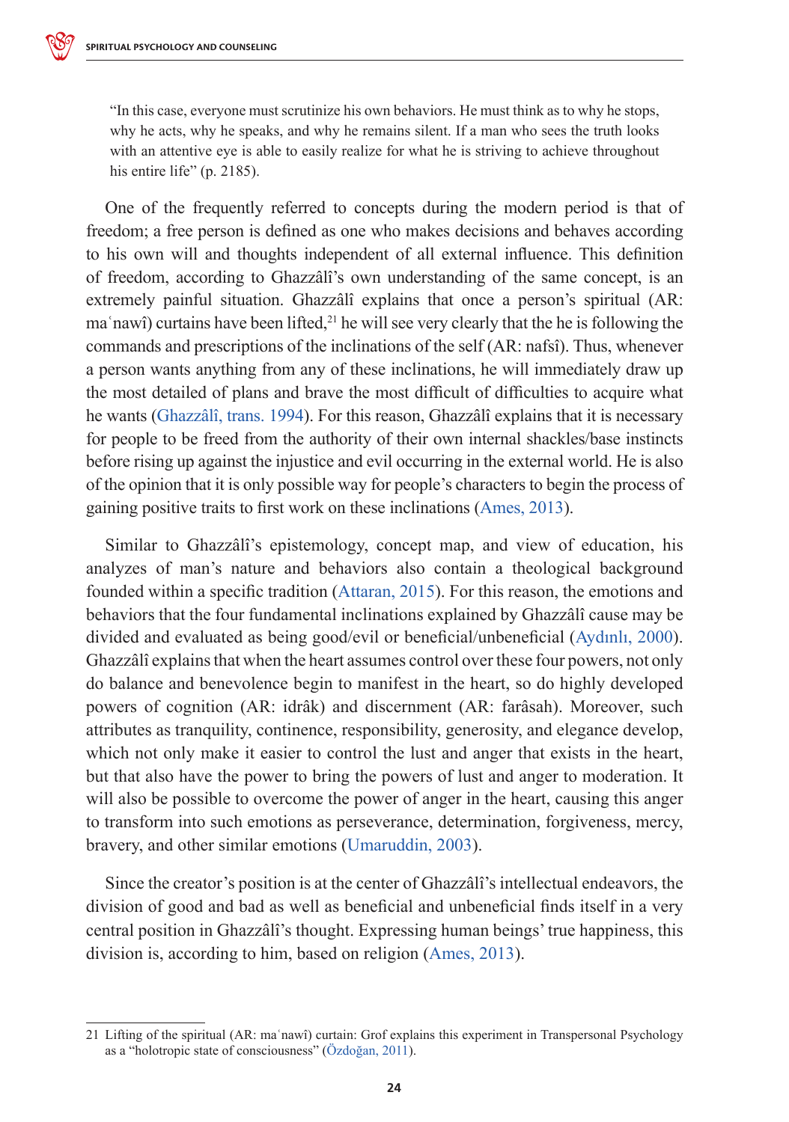"In this case, everyone must scrutinize his own behaviors. He must think as to why he stops, why he acts, why he speaks, and why he remains silent. If a man who sees the truth looks with an attentive eye is able to easily realize for what he is striving to achieve throughout his entire life" (p. 2185).

One of the frequently referred to concepts during the modern period is that of freedom; a free person is defined as one who makes decisions and behaves according to his own will and thoughts independent of all external influence. This definition of freedom, according to Ghazzâlî's own understanding of the same concept, is an extremely painful situation. Ghazzâlî explains that once a person's spiritual (AR: ma 'nawî) curtains have been lifted,<sup>21</sup> he will see very clearly that the he is following the commands and prescriptions of the inclinations of the self (AR: nafsî). Thus, whenever a person wants anything from any of these inclinations, he will immediately draw up the most detailed of plans and brave the most difficult of difficulties to acquire what he wants (Ghazzâlî, trans. 1994). For this reason, Ghazzâlî explains that it is necessary for people to be freed from the authority of their own internal shackles/base instincts before rising up against the injustice and evil occurring in the external world. He is also of the opinion that it is only possible way for people's characters to begin the process of gaining positive traits to first work on these inclinations (Ames, 2013).

Similar to Ghazzâlî's epistemology, concept map, and view of education, his analyzes of man's nature and behaviors also contain a theological background founded within a specific tradition (Attaran, 2015). For this reason, the emotions and behaviors that the four fundamental inclinations explained by Ghazzâlî cause may be divided and evaluated as being good/evil or beneficial/unbeneficial (Aydınlı, 2000). Ghazzâlî explains that when the heart assumes control over these four powers, not only do balance and benevolence begin to manifest in the heart, so do highly developed powers of cognition (AR: idrâk) and discernment (AR: farâsah). Moreover, such attributes as tranquility, continence, responsibility, generosity, and elegance develop, which not only make it easier to control the lust and anger that exists in the heart, but that also have the power to bring the powers of lust and anger to moderation. It will also be possible to overcome the power of anger in the heart, causing this anger to transform into such emotions as perseverance, determination, forgiveness, mercy, bravery, and other similar emotions (Umaruddin, 2003).

Since the creator's position is at the center of Ghazzâlî's intellectual endeavors, the division of good and bad as well as beneficial and unbeneficial finds itself in a very central position in Ghazzâlî's thought. Expressing human beings' true happiness, this division is, according to him, based on religion (Ames, 2013).

<sup>21</sup> Lifting of the spiritual (AR: maʿnawî) curtain: Grof explains this experiment in Transpersonal Psychology as a "holotropic state of consciousness" (Özdoğan, 2011).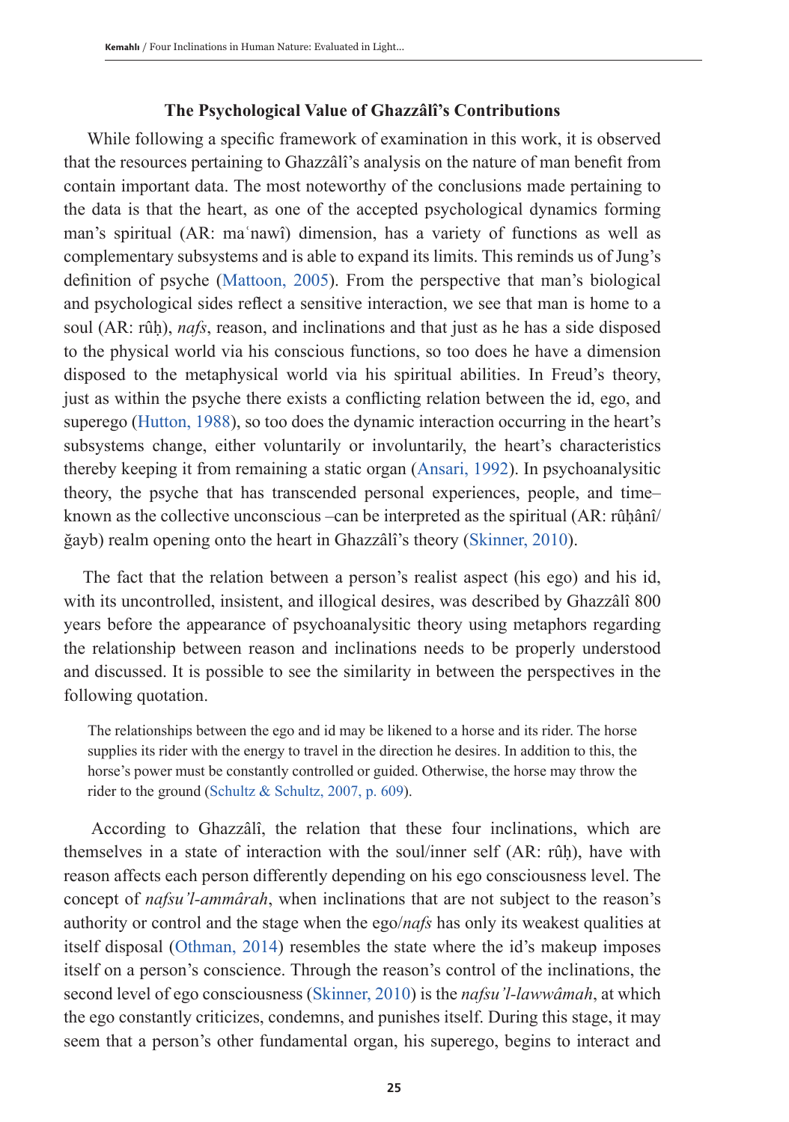## **The Psychological Value of Ghazzâlî's Contributions**

 While following a specific framework of examination in this work, it is observed that the resources pertaining to Ghazzâlî's analysis on the nature of man benefit from contain important data. The most noteworthy of the conclusions made pertaining to the data is that the heart, as one of the accepted psychological dynamics forming man's spiritual (AR: maʿnawî) dimension, has a variety of functions as well as complementary subsystems and is able to expand its limits. This reminds us of Jung's definition of psyche (Mattoon, 2005). From the perspective that man's biological and psychological sides reflect a sensitive interaction, we see that man is home to a soul (AR: rûḥ), *nafs*, reason, and inclinations and that just as he has a side disposed to the physical world via his conscious functions, so too does he have a dimension disposed to the metaphysical world via his spiritual abilities. In Freud's theory, just as within the psyche there exists a conflicting relation between the id, ego, and superego (Hutton, 1988), so too does the dynamic interaction occurring in the heart's subsystems change, either voluntarily or involuntarily, the heart's characteristics thereby keeping it from remaining a static organ (Ansari, 1992). In psychoanalysitic theory, the psyche that has transcended personal experiences, people, and time– known as the collective unconscious –can be interpreted as the spiritual (AR: rûhânî/ ğayb) realm opening onto the heart in Ghazzâlî's theory (Skinner, 2010).

The fact that the relation between a person's realist aspect (his ego) and his id, with its uncontrolled, insistent, and illogical desires, was described by Ghazzâlî 800 years before the appearance of psychoanalysitic theory using metaphors regarding the relationship between reason and inclinations needs to be properly understood and discussed. It is possible to see the similarity in between the perspectives in the following quotation.

The relationships between the ego and id may be likened to a horse and its rider. The horse supplies its rider with the energy to travel in the direction he desires. In addition to this, the horse's power must be constantly controlled or guided. Otherwise, the horse may throw the rider to the ground (Schultz & Schultz, 2007, p. 609).

 According to Ghazzâlî, the relation that these four inclinations, which are themselves in a state of interaction with the soul/inner self (AR: rûḥ), have with reason affects each person differently depending on his ego consciousness level. The concept of *nafsu'l-ammârah*, when inclinations that are not subject to the reason's authority or control and the stage when the ego/*nafs* has only its weakest qualities at itself disposal (Othman, 2014) resembles the state where the id's makeup imposes itself on a person's conscience. Through the reason's control of the inclinations, the second level of ego consciousness (Skinner, 2010) is the *nafsu'l-lawwâmah*, at which the ego constantly criticizes, condemns, and punishes itself. During this stage, it may seem that a person's other fundamental organ, his superego, begins to interact and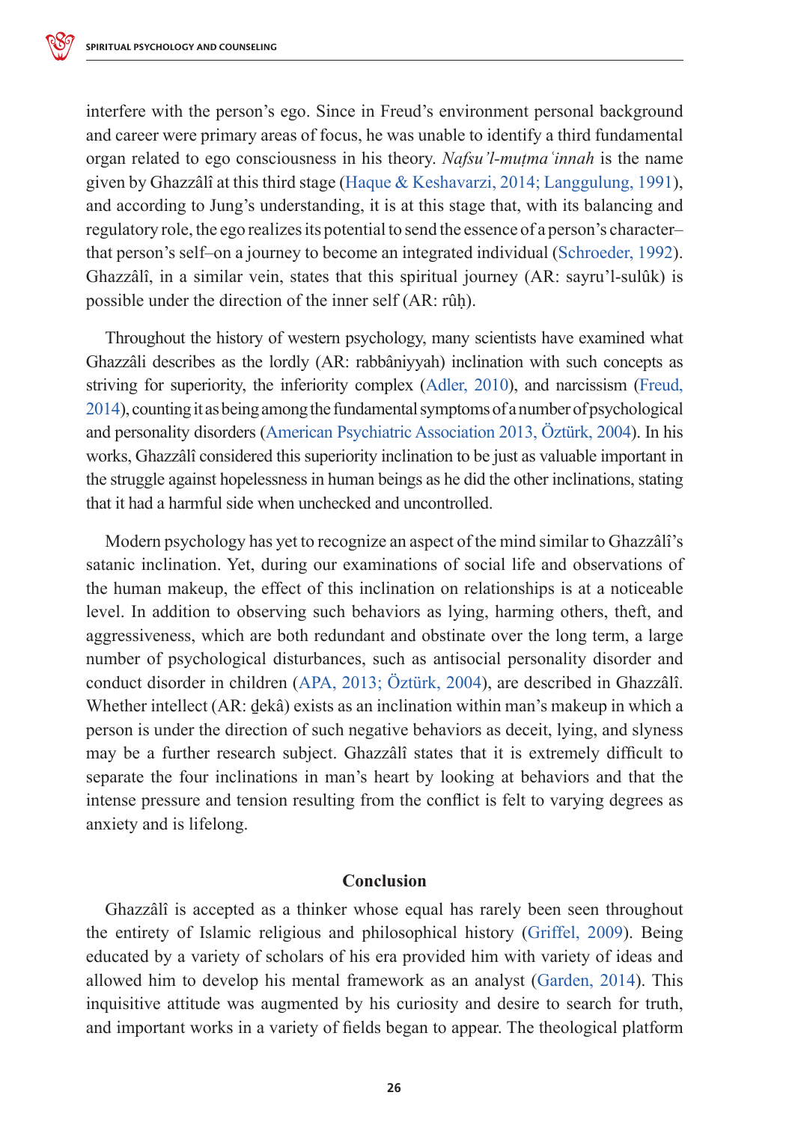interfere with the person's ego. Since in Freud's environment personal background and career were primary areas of focus, he was unable to identify a third fundamental organ related to ego consciousness in his theory. *Nafsu'l-muṭmaʿinnah* is the name given by Ghazzâlî at this third stage (Haque & Keshavarzi, 2014; Langgulung, 1991), and according to Jung's understanding, it is at this stage that, with its balancing and regulatory role, the ego realizes its potential to send the essence of a person's character– that person's self–on a journey to become an integrated individual (Schroeder, 1992). Ghazzâlî, in a similar vein, states that this spiritual journey (AR: sayru'l-sulûk) is possible under the direction of the inner self (AR: rûḥ).

Throughout the history of western psychology, many scientists have examined what Ghazzâli describes as the lordly (AR: rabbâniyyah) inclination with such concepts as striving for superiority, the inferiority complex (Adler, 2010), and narcissism (Freud, 2014), counting it as being among the fundamental symptoms of a number of psychological and personality disorders (American Psychiatric Association 2013, Öztürk, 2004). In his works, Ghazzâlî considered this superiority inclination to be just as valuable important in the struggle against hopelessness in human beings as he did the other inclinations, stating that it had a harmful side when unchecked and uncontrolled.

Modern psychology has yet to recognize an aspect of the mind similar to Ghazzâlî's satanic inclination. Yet, during our examinations of social life and observations of the human makeup, the effect of this inclination on relationships is at a noticeable level. In addition to observing such behaviors as lying, harming others, theft, and aggressiveness, which are both redundant and obstinate over the long term, a large number of psychological disturbances, such as antisocial personality disorder and conduct disorder in children (APA, 2013; Öztürk, 2004), are described in Ghazzâlî. Whether intellect (AR: ḏekâ) exists as an inclination within man's makeup in which a person is under the direction of such negative behaviors as deceit, lying, and slyness may be a further research subject. Ghazzâlî states that it is extremely difficult to separate the four inclinations in man's heart by looking at behaviors and that the intense pressure and tension resulting from the conflict is felt to varying degrees as anxiety and is lifelong.

## **Conclusion**

Ghazzâlî is accepted as a thinker whose equal has rarely been seen throughout the entirety of Islamic religious and philosophical history (Griffel, 2009). Being educated by a variety of scholars of his era provided him with variety of ideas and allowed him to develop his mental framework as an analyst (Garden, 2014). This inquisitive attitude was augmented by his curiosity and desire to search for truth, and important works in a variety of fields began to appear. The theological platform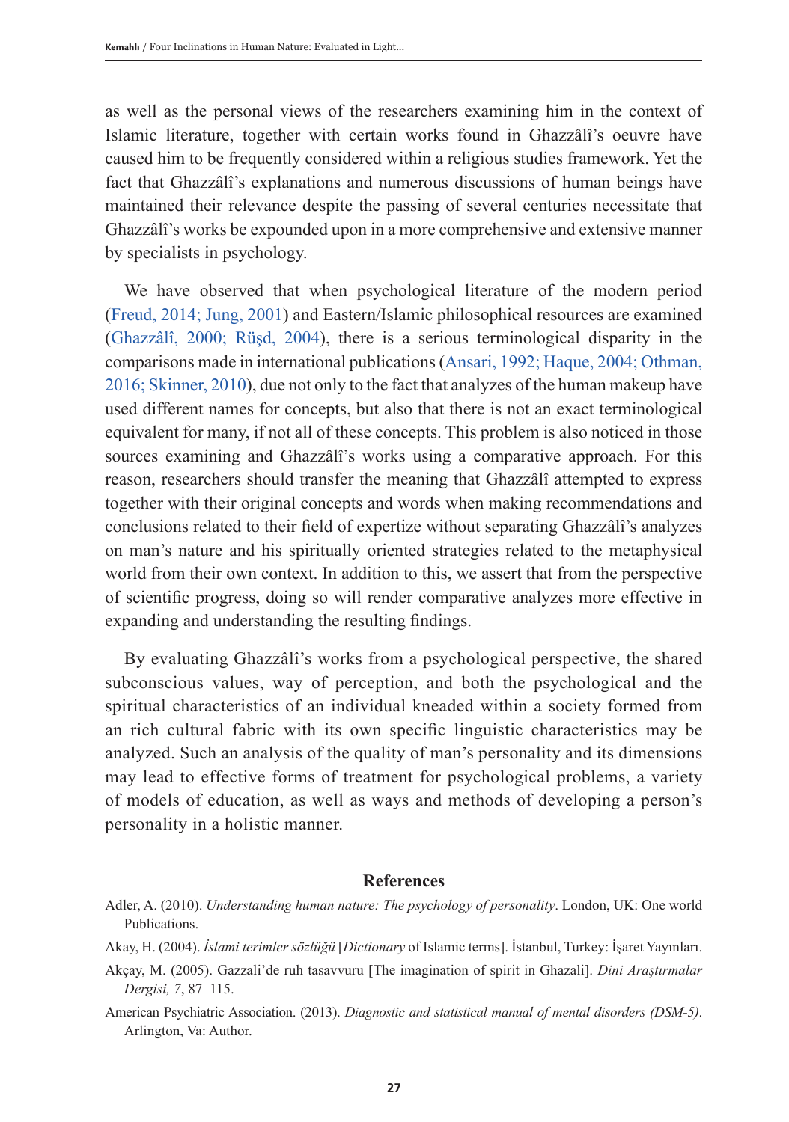as well as the personal views of the researchers examining him in the context of Islamic literature, together with certain works found in Ghazzâlî's oeuvre have caused him to be frequently considered within a religious studies framework. Yet the fact that Ghazzâlî's explanations and numerous discussions of human beings have maintained their relevance despite the passing of several centuries necessitate that Ghazzâlî's works be expounded upon in a more comprehensive and extensive manner by specialists in psychology.

We have observed that when psychological literature of the modern period (Freud, 2014; Jung, 2001) and Eastern/Islamic philosophical resources are examined (Ghazzâlî, 2000; Rüşd, 2004), there is a serious terminological disparity in the comparisons made in international publications (Ansari, 1992; Haque, 2004; Othman, 2016; Skinner, 2010), due not only to the fact that analyzes of the human makeup have used different names for concepts, but also that there is not an exact terminological equivalent for many, if not all of these concepts. This problem is also noticed in those sources examining and Ghazzâlî's works using a comparative approach. For this reason, researchers should transfer the meaning that Ghazzâlî attempted to express together with their original concepts and words when making recommendations and conclusions related to their field of expertize without separating Ghazzâlî's analyzes on man's nature and his spiritually oriented strategies related to the metaphysical world from their own context. In addition to this, we assert that from the perspective of scientific progress, doing so will render comparative analyzes more effective in expanding and understanding the resulting findings.

By evaluating Ghazzâlî's works from a psychological perspective, the shared subconscious values, way of perception, and both the psychological and the spiritual characteristics of an individual kneaded within a society formed from an rich cultural fabric with its own specific linguistic characteristics may be analyzed. Such an analysis of the quality of man's personality and its dimensions may lead to effective forms of treatment for psychological problems, a variety of models of education, as well as ways and methods of developing a person's personality in a holistic manner.

# **References**

- Adler, A. (2010). *Understanding human nature: The psychology of personality*. London, UK: One world Publications.
- Akay, H. (2004). *İslami terimler sözlüğü* [*Dictionary* of Islamic terms]. İstanbul, Turkey: İşaret Yayınları.
- Akçay, M. (2005). Gazzali'de ruh tasavvuru [The imagination of spirit in Ghazali]. *Dini Araştırmalar Dergisi, 7*, 87–115.
- American Psychiatric Association. (2013). *Diagnostic and statistical manual of mental disorders (DSM-5)*. Arlington, Va: Author.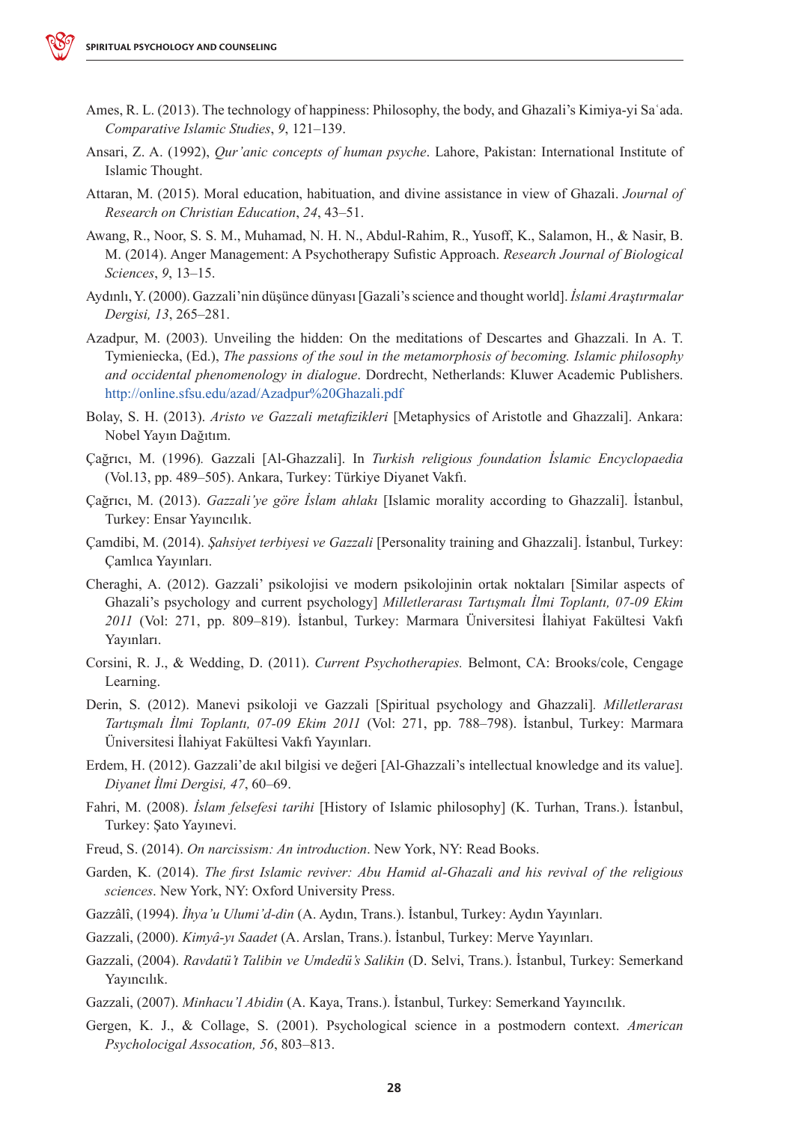- Ames, R. L. (2013). The technology of happiness: Philosophy, the body, and Ghazali's Kimiya-yi Saʿada. *Comparative Islamic Studies*, *9*, 121–139.
- Ansari, Z. A. (1992), *Qur'anic concepts of human psyche*. Lahore, Pakistan: International Institute of Islamic Thought.
- Attaran, M. (2015). Moral education, habituation, and divine assistance in view of Ghazali. *Journal of Research on Christian Education*, *24*, 43–51.
- Awang, R., Noor, S. S. M., Muhamad, N. H. N., Abdul-Rahim, R., Yusoff, K., Salamon, H., & Nasir, B. M. (2014). Anger Management: A Psychotherapy Sufistic Approach. *Research Journal of Biological Sciences*, *9*, 13–15.
- Aydınlı, Y. (2000). Gazzali'nin düşünce dünyası [Gazali's science and thought world]. *İslami Araştırmalar Dergisi, 13*, 265–281.
- Azadpur, M. (2003). Unveiling the hidden: On the meditations of Descartes and Ghazzali. In A. T. Tymieniecka, (Ed.), *The passions of the soul in the metamorphosis of becoming. Islamic philosophy and occidental phenomenology in dialogue*. Dordrecht, Netherlands: Kluwer Academic Publishers. http://online.sfsu.edu/azad/Azadpur%20Ghazali.pdf
- Bolay, S. H. (2013). *Aristo ve Gazzali metafizikleri* [Metaphysics of Aristotle and Ghazzali]. Ankara: Nobel Yayın Dağıtım.
- Çağrıcı, M. (1996)*.* Gazzali [Al-Ghazzali]. In *Turkish religious foundation İslamic Encyclopaedia* (Vol.13, pp. 489–505). Ankara, Turkey: Türkiye Diyanet Vakfı.
- Çağrıcı, M. (2013). *Gazzali'ye göre İslam ahlakı* [Islamic morality according to Ghazzali]. İstanbul, Turkey: Ensar Yayıncılık.
- Çamdibi, M. (2014). *Şahsiyet terbiyesi ve Gazzali* [Personality training and Ghazzali]. İstanbul, Turkey: Çamlıca Yayınları.
- Cheraghi, A. (2012). Gazzali' psikolojisi ve modern psikolojinin ortak noktaları [Similar aspects of Ghazali's psychology and current psychology] *Milletlerarası Tartışmalı İlmi Toplantı, 07-09 Ekim 2011* (Vol: 271, pp. 809–819). İstanbul, Turkey: Marmara Üniversitesi İlahiyat Fakültesi Vakfı Yayınları.
- Corsini, R. J., & Wedding, D. (2011). *Current Psychotherapies.* Belmont, CA: Brooks/cole, Cengage Learning.
- Derin, S. (2012). Manevi psikoloji ve Gazzali [Spiritual psychology and Ghazzali]*. Milletlerarası Tartışmalı İlmi Toplantı, 07-09 Ekim 2011* (Vol: 271, pp. 788–798). İstanbul, Turkey: Marmara Üniversitesi İlahiyat Fakültesi Vakfı Yayınları.
- Erdem, H. (2012). Gazzali'de akıl bilgisi ve değeri [Al-Ghazzali's intellectual knowledge and its value]. *Diyanet İlmi Dergisi, 47*, 60–69.
- Fahri, M. (2008). *İslam felsefesi tarihi* [History of Islamic philosophy] (K. Turhan, Trans.). İstanbul, Turkey: Şato Yayınevi.
- Freud, S. (2014). *On narcissism: An introduction*. New York, NY: Read Books.
- Garden, K. (2014). *The first Islamic reviver: Abu Hamid al-Ghazali and his revival of the religious sciences*. New York, NY: Oxford University Press.
- Gazzâlî, (1994). *İhya'u Ulumi'd-din* (A. Aydın, Trans.). İstanbul, Turkey: Aydın Yayınları.
- Gazzali, (2000). *Kimyâ-yı Saadet* (A. Arslan, Trans.). İstanbul, Turkey: Merve Yayınları.
- Gazzali, (2004). *Ravdatü't Talibin ve Umdedü's Salikin* (D. Selvi, Trans.). İstanbul, Turkey: Semerkand Yayıncılık.
- Gazzali, (2007). *Minhacu'l Abidin* (A. Kaya, Trans.). İstanbul, Turkey: Semerkand Yayıncılık.
- Gergen, K. J., & Collage, S. (2001). Psychological science in a postmodern context. *American Psycholocigal Assocation, 56*, 803–813.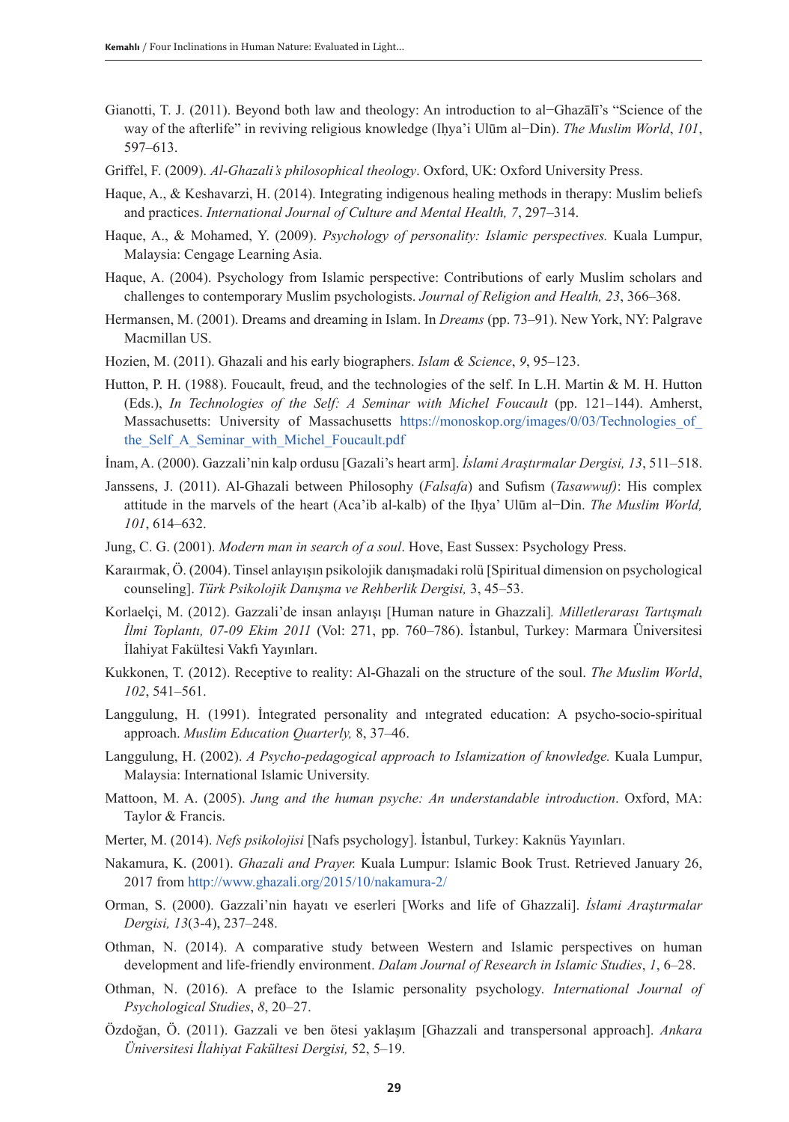- Gianotti, T. J. (2011). Beyond both law and theology: An introduction to al−Ghazālī's "Science of the way of the afterlife" in reviving religious knowledge (Iḥya'i Ulūm al−Din). *The Muslim World*, *101*, 597–613.
- Griffel, F. (2009). *Al-Ghazali's philosophical theology*. Oxford, UK: Oxford University Press.
- Haque, A., & Keshavarzi, H. (2014). Integrating indigenous healing methods in therapy: Muslim beliefs and practices. *International Journal of Culture and Mental Health, 7*, 297–314.
- Haque, A., & Mohamed, Y. (2009). *Psychology of personality: Islamic perspectives.* Kuala Lumpur, Malaysia: Cengage Learning Asia.
- Haque, A. (2004). Psychology from Islamic perspective: Contributions of early Muslim scholars and challenges to contemporary Muslim psychologists. *Journal of Religion and Health, 23*, 366–368.
- Hermansen, M. (2001). Dreams and dreaming in Islam. In *Dreams* (pp. 73–91). New York, NY: Palgrave Macmillan US.
- Hozien, M. (2011). Ghazali and his early biographers. *Islam & Science*, *9*, 95–123.
- Hutton, P. H. (1988). Foucault, freud, and the technologies of the self. In L.H. Martin & M. H. Hutton (Eds.), *In Technologies of the Self: A Seminar with Michel Foucault* (pp. 121–144). Amherst, Massachusetts: University of Massachusetts https://monoskop.org/images/0/03/Technologies of the Self A Seminar with Michel Foucault.pdf
- İnam, A. (2000). Gazzali'nin kalp ordusu [Gazali's heart arm]. *İslami Araştırmalar Dergisi, 13*, 511–518.
- Janssens, J. (2011). Al-Ghazali between Philosophy (*Falsafa*) and Sufism (*Tasawwuf)*: His complex attitude in the marvels of the heart (Aca'ib al-kalb) of the Iḥya' Ulūm al−Din. *The Muslim World, 101*, 614–632.
- Jung, C. G. (2001). *Modern man in search of a soul*. Hove, East Sussex: Psychology Press.
- Karaırmak, Ö. (2004). Tinsel anlayışın psikolojik danışmadaki rolü [Spiritual dimension on psychological counseling]. *Türk Psikolojik Danışma ve Rehberlik Dergisi,* 3, 45–53.
- Korlaelçi, M. (2012). Gazzali'de insan anlayışı [Human nature in Ghazzali]*. Milletlerarası Tartışmalı İlmi Toplantı, 07-09 Ekim 2011* (Vol: 271, pp. 760–786). İstanbul, Turkey: Marmara Üniversitesi İlahiyat Fakültesi Vakfı Yayınları.
- Kukkonen, T. (2012). Receptive to reality: Al-Ghazali on the structure of the soul. *The Muslim World*, *102*, 541–561.
- Langgulung, H. (1991). İntegrated personality and ıntegrated education: A psycho-socio-spiritual approach. *Muslim Education Quarterly,* 8, 37–46.
- Langgulung, H. (2002). *A Psycho-pedagogical approach to Islamization of knowledge.* Kuala Lumpur, Malaysia: International Islamic University.
- Mattoon, M. A. (2005). *Jung and the human psyche: An understandable introduction*. Oxford, MA: Taylor & Francis.
- Merter, M. (2014). *Nefs psikolojisi* [Nafs psychology]. İstanbul, Turkey: Kaknüs Yayınları.
- Nakamura, K. (2001). *Ghazali and Prayer.* Kuala Lumpur: Islamic Book Trust. Retrieved January 26, 2017 from http://www.ghazali.org/2015/10/nakamura-2/
- Orman, S. (2000). Gazzali'nin hayatı ve eserleri [Works and life of Ghazzali]. *İslami Araştırmalar Dergisi, 13*(3-4), 237–248.
- Othman, N. (2014). A comparative study between Western and Islamic perspectives on human development and life-friendly environment. *Dalam Journal of Research in Islamic Studies*, *1*, 6–28.
- Othman, N. (2016). A preface to the Islamic personality psychology. *International Journal of Psychological Studies*, *8*, 20–27.
- Özdoğan, Ö. (2011). Gazzali ve ben ötesi yaklaşım [Ghazzali and transpersonal approach]. *Ankara Üniversitesi İlahiyat Fakültesi Dergisi,* 52, 5–19.